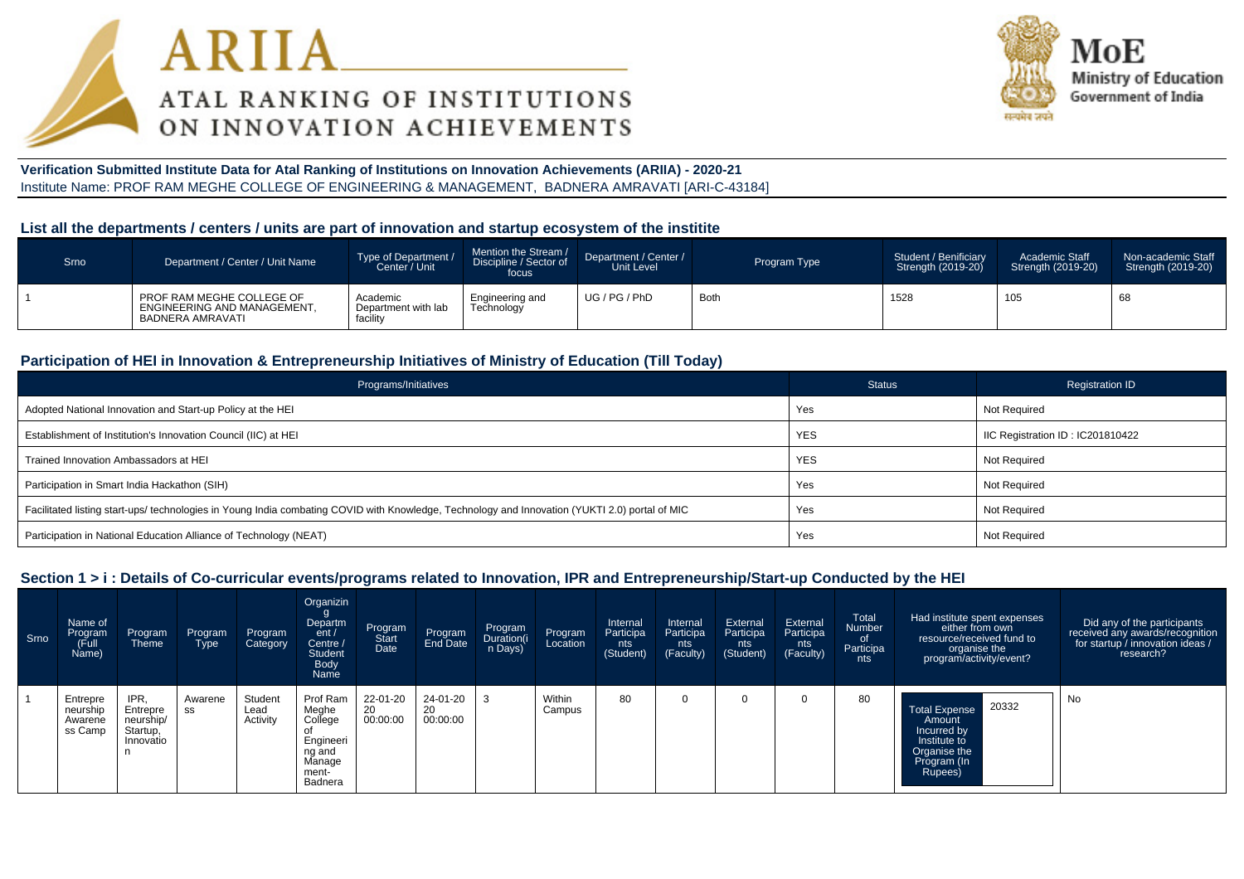



#### **Verification Submitted Institute Data for Atal Ranking of Institutions on Innovation Achievements (ARIIA) - 2020-21**Institute Name: PROF RAM MEGHE COLLEGE OF ENGINEERING & MANAGEMENT, BADNERA AMRAVATI [ARI-C-43184]

#### **List all the departments / centers / units are part of innovation and startup ecosystem of the institite**

| Srno | Department / Center / Unit Name                                              | Type of Department /<br>Center / Unit       | Mention the Stream /<br>Discipline / Sector of<br>focus | Department / Center /<br>Unit Level | Program Type | Student / Benificiary<br>Strength (2019-20) | Academic Staff<br>Strength (2019-20) | Non-academic Staff<br>Strength (2019-20) |
|------|------------------------------------------------------------------------------|---------------------------------------------|---------------------------------------------------------|-------------------------------------|--------------|---------------------------------------------|--------------------------------------|------------------------------------------|
|      | PROF RAM MEGHE COLLEGE OF<br>ENGINEERING AND MANAGEMENT.<br>BADNERA AMRAVATI | Academic<br>Department with lab<br>facility | Engineering and<br>Technology                           | UG / PG / PhD                       | Both         | 1528                                        | 105                                  | 68                                       |

### **Participation of HEI in Innovation & Entrepreneurship Initiatives of Ministry of Education (Till Today)**

| Programs/Initiatives                                                                                                                           | <b>Status</b> | Registration ID                  |
|------------------------------------------------------------------------------------------------------------------------------------------------|---------------|----------------------------------|
| Adopted National Innovation and Start-up Policy at the HEI                                                                                     | Yes           | Not Required                     |
| Establishment of Institution's Innovation Council (IIC) at HEI                                                                                 | <b>YES</b>    | IIC Registration ID: IC201810422 |
| Trained Innovation Ambassadors at HEI                                                                                                          | <b>YES</b>    | Not Required                     |
| Participation in Smart India Hackathon (SIH)                                                                                                   | Yes           | <b>Not Required</b>              |
| Facilitated listing start-ups/ technologies in Young India combating COVID with Knowledge, Technology and Innovation (YUKTI 2.0) portal of MIC | Yes           | Not Required                     |
| Participation in National Education Alliance of Technology (NEAT)                                                                              | Yes           | Not Required                     |

#### **Section 1 > i : Details of Co-curricular events/programs related to Innovation, IPR and Entrepreneurship/Start-up Conducted by the HEI**

| Srno | Name of<br>Program<br>Full)<br>Name)       | Program<br>Theme                                       | Program<br>Type | Program<br>Category         | Organizin<br>Departm<br>ent/<br>Centre /<br><b>Student</b><br>Body<br>Name        | Program<br>Start<br>Date   | Program<br>End Date        | Program<br>Duration(i<br>n Days) | Program<br>Location | Internal<br>Participa<br>nts<br>(Student) | Internal<br>Participa<br>nts<br>(Faculty) | External<br>Participa<br>nts<br>(Student) | External<br>Participa<br>nts<br>(Faculty) | Total<br>Number<br>of<br>Participa<br>nts | Had institute spent expenses<br>either from own<br>resource/received fund to<br>organise the<br>program/activity/event? | Did any of the participants<br>received any awards/recognition<br>for startup / innovation ideas /<br>research? |
|------|--------------------------------------------|--------------------------------------------------------|-----------------|-----------------------------|-----------------------------------------------------------------------------------|----------------------------|----------------------------|----------------------------------|---------------------|-------------------------------------------|-------------------------------------------|-------------------------------------------|-------------------------------------------|-------------------------------------------|-------------------------------------------------------------------------------------------------------------------------|-----------------------------------------------------------------------------------------------------------------|
|      | Entrepre<br>neurship<br>Awarene<br>ss Camp | IPR.<br>Entrepre<br>neurship/<br>Startup,<br>Innovatio | Awarene<br>SS   | Student<br>Lead<br>Activity | Prof Ram<br>Meghe<br>College<br>Engineeri<br>ng and<br>Manage<br>ment-<br>Badnera | 22-01-20<br>20<br>00:00:00 | 24-01-20<br>20<br>00:00:00 |                                  | Within<br>Campus    | 80                                        |                                           |                                           |                                           | 80                                        | 20332<br><b>Total Expense</b><br>Amount<br>Incurred by<br>Institute to<br>Organise the<br>Program (In<br>Rupees)        | No                                                                                                              |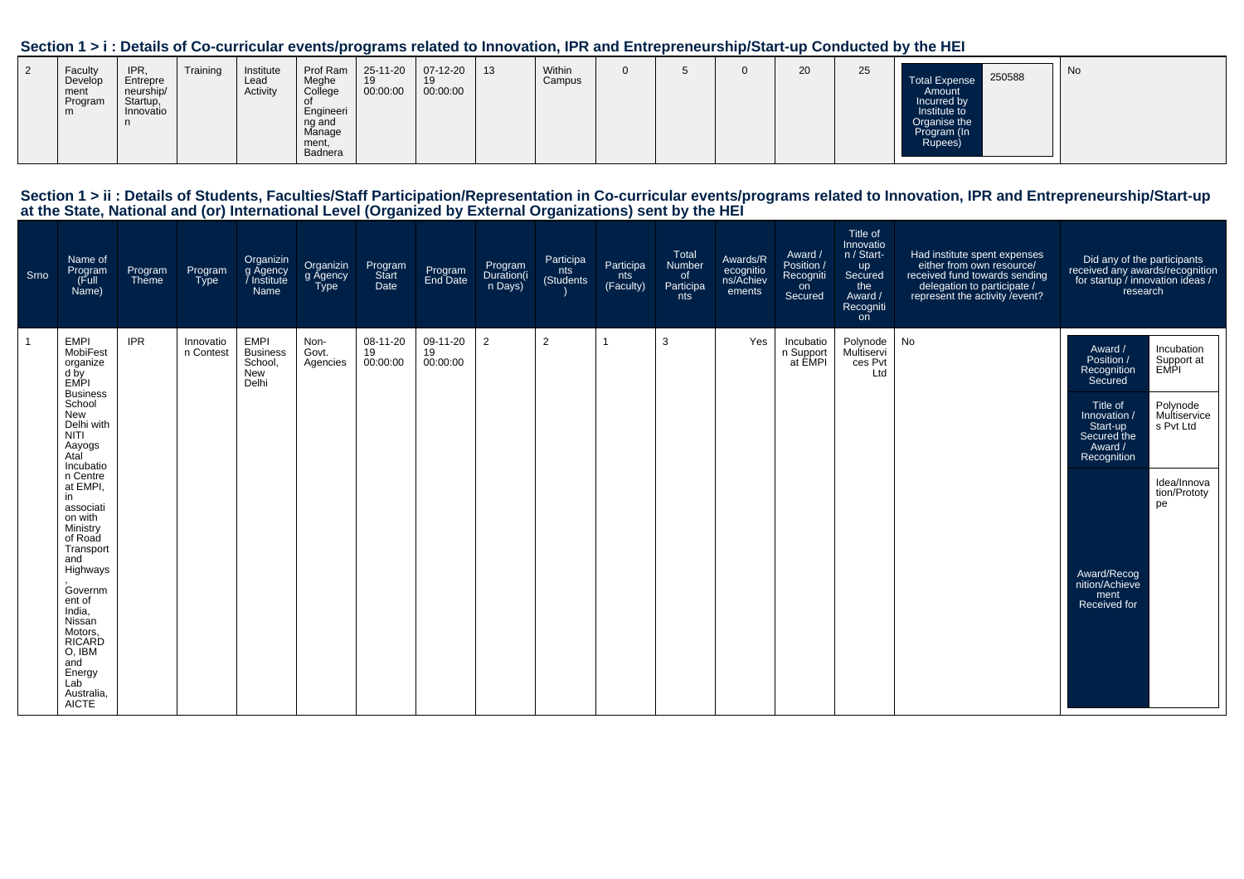#### **Section 1 > i : Details of Co-curricular events/programs related to Innovation, IPR and Entrepreneurship/Start-up Conducted by the HEI**

# Section 1 > ii : Details of Students, Faculties/Staff Participation/Representation in Co-curricular events/programs related to Innovation, IPR and Entrepreneurship/Start-up<br>at the State, National and (or) International Lev

| Srno           | Name of<br>Program<br>Full)<br>Name)                                                                                                                                                                                                                             | Program<br>Theme | Program<br>Type        | Organizin<br>g Agency<br>/ Institute<br>Name              | Organizin<br>g Agency<br><b>Type</b> | Program<br>Start<br>Date   | Program<br>End Date        | Program<br>Duration(i<br>n Days) | Participa<br>nts<br>(Students) | Participa<br>nts<br>(Faculty) | Total<br>Number<br>of<br>Participa<br>nts | Awards/R<br>ecognitio<br>ns/Achiev<br>ements | Award /<br>Position /<br>Recogniti<br>on<br>Secured | Title of<br>Innovatio<br>n / Start-<br>up<br>Secured<br>the<br>Award /<br>Recogniti<br>on | Had institute spent expenses<br>either from own resource/<br>received fund towards sending<br>delegation to participate /<br>represent the activity / event? | Did any of the participants<br>received any awards/recognition<br>for startup / innovation ideas /<br>research                   |                                                                                                                |
|----------------|------------------------------------------------------------------------------------------------------------------------------------------------------------------------------------------------------------------------------------------------------------------|------------------|------------------------|-----------------------------------------------------------|--------------------------------------|----------------------------|----------------------------|----------------------------------|--------------------------------|-------------------------------|-------------------------------------------|----------------------------------------------|-----------------------------------------------------|-------------------------------------------------------------------------------------------|--------------------------------------------------------------------------------------------------------------------------------------------------------------|----------------------------------------------------------------------------------------------------------------------------------|----------------------------------------------------------------------------------------------------------------|
| $\overline{1}$ | <b>EMPI</b><br>MobiFest<br>organize<br>d by<br>EMPI<br><b>Business</b><br>School<br>New<br>Delhi with<br><b>NITI</b><br>Aayogs<br>Atal<br>Incubatio<br>n Centre<br>at EMPI.<br>in<br>associati<br>on with<br>Ministry<br>of Road<br>Transport<br>and<br>Highways | <b>IPR</b>       | Innovatio<br>n Contest | <b>EMPI</b><br><b>Business</b><br>School,<br>New<br>Delhi | Non-<br>Govt.<br>Agencies            | 08-11-20<br>19<br>00:00:00 | 09-11-20<br>19<br>00:00:00 | $\overline{2}$                   | $\overline{2}$                 |                               | 3                                         | Yes                                          | Incubatio<br>n Support<br>at EMPI                   | Polynode<br>Multiservi<br>ces Pvt<br>Ltd                                                  | <b>No</b>                                                                                                                                                    | Award /<br>Position /<br>Recognition<br>Secured<br>Title of<br>Innovation /<br>Start-up<br>Secured the<br>Award /<br>Recognition | Incubation<br>Support at<br>EMPI<br>Polynode<br>Multiservice<br>s Pvt Ltd<br>Idea/Innova<br>tion/Prototy<br>pe |
|                | Governm<br>ent of<br>India,<br>Nissan<br>Motors,<br><b>RICARD</b><br>O, IBM<br>and<br>Energy<br>Lab<br>Australia,<br><b>AICTE</b>                                                                                                                                |                  |                        |                                                           |                                      |                            |                            |                                  |                                |                               |                                           |                                              |                                                     |                                                                                           |                                                                                                                                                              | Award/Recog<br>nition/Achieve<br>ment<br>Received for                                                                            |                                                                                                                |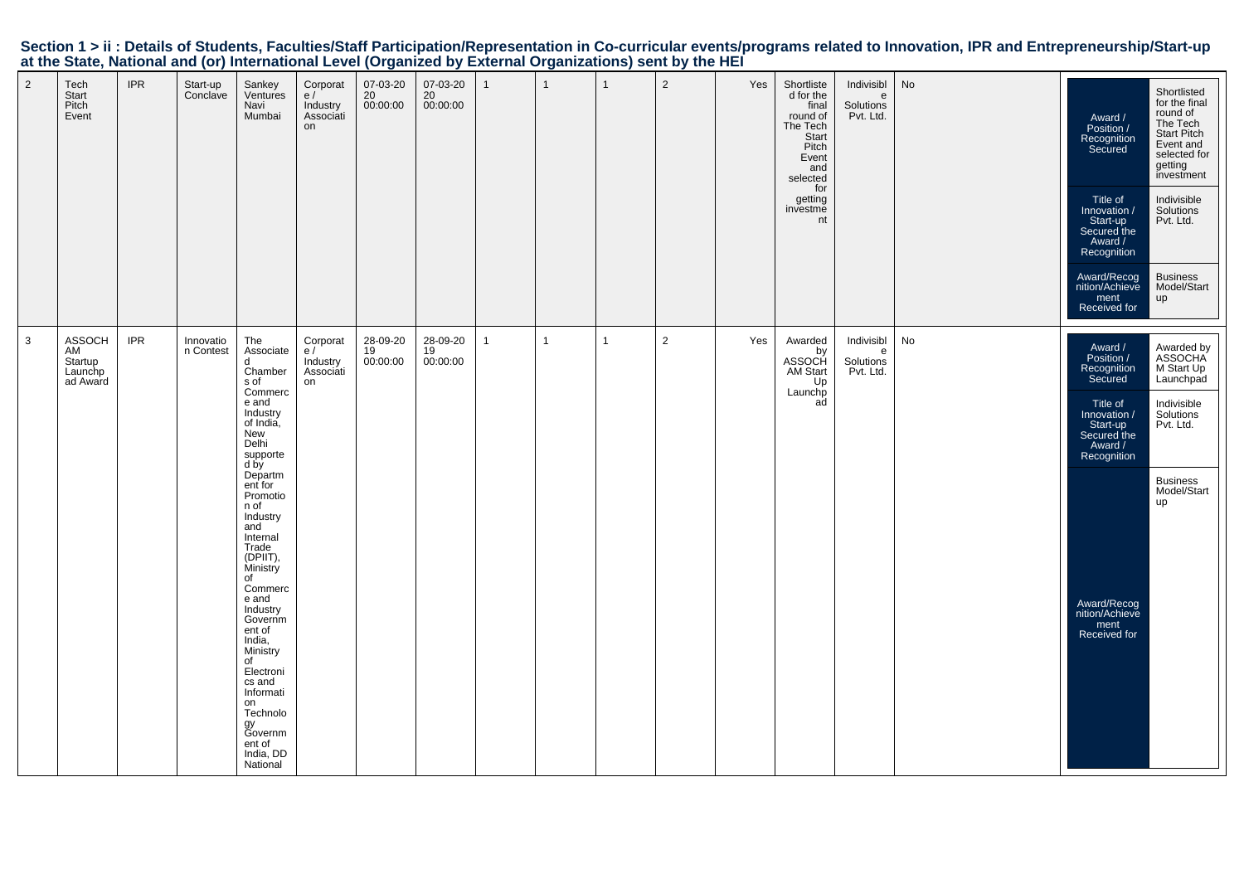|                |                                                |            |                        | at the blaid, national and (b) international EUTCH (b) gamECG by EXternal Organizations) some by the mET                                                                                                                                                                                                 |                                               |                            |                                         |              |              |              |                |     |                                                                                                                                            |                                           |    |                                                                                                                                                                                           |                                                                                                                                                                                                            |
|----------------|------------------------------------------------|------------|------------------------|----------------------------------------------------------------------------------------------------------------------------------------------------------------------------------------------------------------------------------------------------------------------------------------------------------|-----------------------------------------------|----------------------------|-----------------------------------------|--------------|--------------|--------------|----------------|-----|--------------------------------------------------------------------------------------------------------------------------------------------|-------------------------------------------|----|-------------------------------------------------------------------------------------------------------------------------------------------------------------------------------------------|------------------------------------------------------------------------------------------------------------------------------------------------------------------------------------------------------------|
| $\overline{2}$ | Tech<br>Start<br>Pitch<br>Event                | <b>IPR</b> | Start-up<br>Conclave   | Sankey<br>Ventures<br>Navi<br>Mumbai                                                                                                                                                                                                                                                                     | Corporat<br>e/<br>Industry<br>Associati<br>on | 07-03-20<br>20<br>00:00:00 | 07-03-20<br>20<br>00:00:00              | $\mathbf{1}$ | $\mathbf{1}$ | $\mathbf{1}$ | $\overline{2}$ | Yes | Shortliste<br>d for the<br>final<br>round of<br>The Tech<br>Start<br>Pitch<br>Event<br>and<br>selected<br>for<br>getting<br>investme<br>nt | Indivisibl<br>e<br>Solutions<br>Pvt. Ltd. | No | Award /<br>Position /<br>Recognition<br>Secured<br>Title of<br>Innovation /<br>Start-up<br>Secured the<br>Award /<br>Recognition<br>Award/Recog<br>nition/Achieve<br>ment<br>Received for | Shortlisted<br>for the final<br>round of<br>The Tech<br>Start Pitch<br>Event and<br>selected for<br>getting<br>investment<br>Indivisible<br>Solutions<br>Pvt. Ltd.<br><b>Business</b><br>Model/Start<br>up |
| $\mathbf{3}$   | ASSOCH<br>AM<br>Startup<br>Launchp<br>ad Award | <b>IPR</b> | Innovatio<br>n Contest | The<br>Associate<br>d<br>Chamber<br>s of<br>Commerc<br>e and<br>Industry<br>of India,<br>New<br>Delhi<br>supporte<br>d by<br>Departm<br>ent for<br>Promotio<br>n of<br>Industry<br>and<br>Internal<br>Trade<br>(DPIIT),<br>Ministry<br>of<br>Commerc<br>e and<br>Industry<br>Governm<br>ent of<br>India, | Corporat<br>e/<br>Industry<br>Associati<br>on | 28-09-20<br>19<br>00:00:00 | 28-09-20<br>$\frac{19}{19}$<br>00:00:00 | 1            | $\mathbf{1}$ | $\mathbf{1}$ | $\overline{2}$ | Yes | Awarded<br>by<br>ASSOCH<br>AM Start<br>Up<br>Launchp<br>ad                                                                                 | Indivisibl<br>e<br>Solutions<br>Pvt. Ltd. | No | Award /<br>Position /<br>Recognition<br>Secured<br>Title of<br>Innovation /<br>Start-up<br>Secured the<br>Award /<br>Recognition<br>Award/Recog<br>nition/Achieve<br>ment<br>Received for | Awarded by<br>ASSOCHA<br>M Start Up<br>Launchpad<br>Indivisible<br>Solutions<br>Pvt. Ltd.<br><b>Business</b><br>Model/Start<br>up                                                                          |
|                |                                                |            |                        | Ministry<br>of<br>Electroni<br>cs and<br>Informati<br>on<br>Technolo<br>gy<br>Governm<br>ent of<br>India, DD<br>National                                                                                                                                                                                 |                                               |                            |                                         |              |              |              |                |     |                                                                                                                                            |                                           |    |                                                                                                                                                                                           |                                                                                                                                                                                                            |

## Section 1 > ii : Details of Students, Faculties/Staff Participation/Representation in Co-curricular events/programs related to Innovation, IPR and Entrepreneurship/Start-up<br>at the State, National and (or) International Lev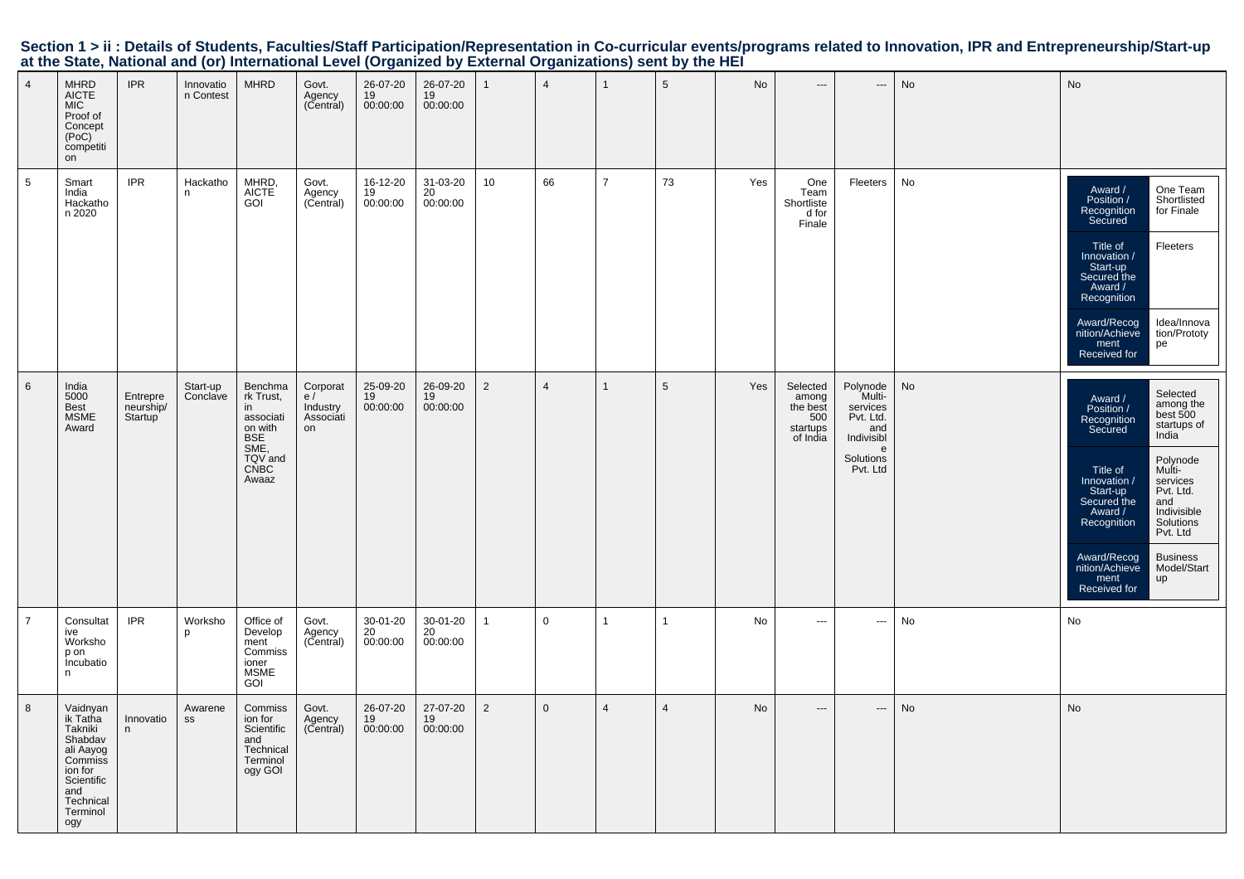| Section 1 > ii : Details of Students, Faculties/Staff Participation/Representation in Co-curricular events/programs related to Innovation, IPR and Entrepreneurship/Start-up |  |  |
|------------------------------------------------------------------------------------------------------------------------------------------------------------------------------|--|--|
| at the State, National and (or) International Level (Organized by External Organizations) sent by the HEI                                                                    |  |  |

| $\overline{4}$<br>$5\phantom{.0}$ | <b>MHRD</b><br>AICTE<br>MIC<br>Proof of<br>Concept<br>(PoC)<br>competiti<br>on<br>Smart<br>India<br>Hackatho<br>n 2020             | <b>IPR</b><br><b>IPR</b>         | Innovatio<br>n Contest<br>Hackatho<br>n | <b>MHRD</b><br>MHRD,<br><b>AICTE</b><br>GOI                                                                 | Govt.<br>Agency<br>(Central)<br>Govt.<br>Agency<br>(Central) |                            | 26-07-20<br>19<br>00:00:00<br>16-12-20<br>19<br>00:00:00 | 26-07-20<br>19<br>00:00:00<br>31-03-20<br>20<br>00:00:00 | $\mathbf{1}$<br>10 | $\overline{4}$<br>66 | $\mathbf{1}$<br>$\overline{7}$ | $5\phantom{.0}$<br>73 | No<br>Yes | $\hspace{0.05cm} \ldots$<br>One<br>Team<br>Shortliste<br>d for<br>Finale | ---<br>Fleeters                                                                                | No<br>No |
|-----------------------------------|------------------------------------------------------------------------------------------------------------------------------------|----------------------------------|-----------------------------------------|-------------------------------------------------------------------------------------------------------------|--------------------------------------------------------------|----------------------------|----------------------------------------------------------|----------------------------------------------------------|--------------------|----------------------|--------------------------------|-----------------------|-----------|--------------------------------------------------------------------------|------------------------------------------------------------------------------------------------|----------|
|                                   |                                                                                                                                    |                                  |                                         |                                                                                                             |                                                              |                            |                                                          |                                                          |                    |                      |                                |                       |           |                                                                          |                                                                                                |          |
| $6\phantom{.}6$                   | India<br>5000<br>Best<br><b>MSME</b><br>Award                                                                                      | Entrepre<br>neurship/<br>Startup | Start-up<br>Conclave                    | Benchma<br>rk Trust,<br>in<br>associati<br>on with<br><b>BSE</b><br>SME,<br>TQV and<br><b>CNBC</b><br>Awaaz | Corporat<br>e/<br>Industry<br>Associati<br>on                | 25-09-20<br>19<br>00:00:00 |                                                          | 26-09-20<br>19<br>00:00:00                               | $\overline{2}$     | $\overline{4}$       | $\mathbf{1}$                   | $5\phantom{.0}$       | Yes       | Selected<br>among<br>the best<br>500<br>startups<br>of India             | Polynode<br>Multi-<br>services<br>Pvt. Ltd.<br>and<br>Indivisibl<br>e<br>Solutions<br>Pvt. Ltd | No       |
| $\overline{7}$                    | Consultat<br>ive<br>Worksho<br>p on<br>Incubatio<br>n                                                                              | <b>IPR</b>                       | Worksho<br>D                            | Office of<br>Develop<br>ment<br>Commiss<br>ioner<br><b>MSME</b><br><b>GOI</b>                               | Govt.<br>Agency<br>(Central)                                 | 30-01-20<br>20<br>00:00:00 |                                                          | 30-01-20<br>20<br>00:00:00                               | $\mathbf{1}$       | 0                    | $\mathbf{1}$                   | $\mathbf{1}$          | No        | $\overline{a}$                                                           | $\hspace{1.5cm} \cdots$                                                                        | No       |
| 8                                 | Vaidnyan<br>ik Tatha<br>Takniki<br>Shabdav<br>ali Aayog<br>Commiss<br>ion for<br>Scientific<br>and<br>Technical<br>Terminol<br>ogy | Innovatio<br>n                   | Awarene<br>SS                           | Commiss<br>ion for<br>Scientific<br>and<br>Technical<br>Terminol<br>ogy GOI                                 | Govt.<br>Agency<br>(Central)                                 | 26-07-20<br>19<br>00:00:00 |                                                          | 27-07-20<br>19<br>00:00:00                               | $\overline{2}$     | $\Omega$             | $\overline{4}$                 | $\overline{4}$        | No        | $---$                                                                    | $---$                                                                                          | No       |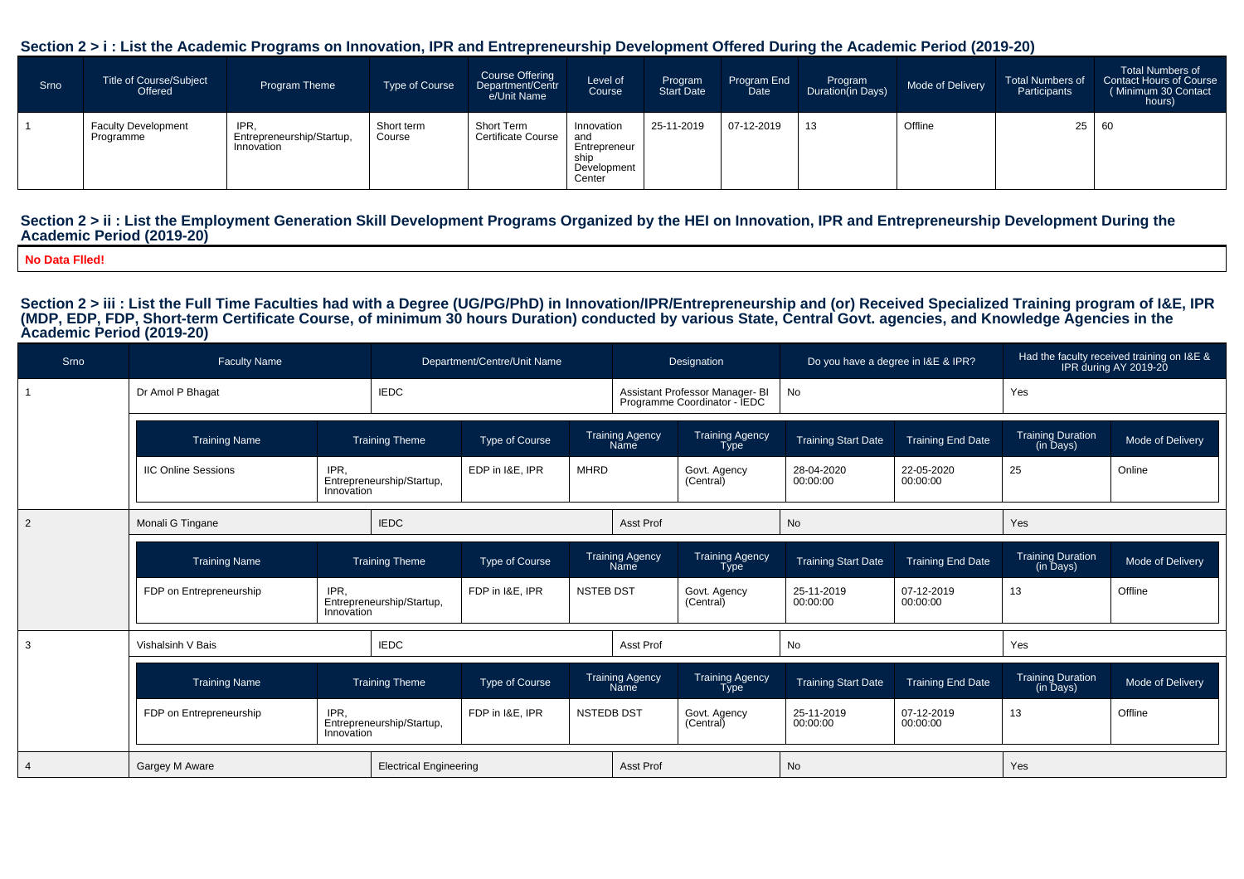#### **Section 2 > i : List the Academic Programs on Innovation, IPR and Entrepreneurship Development Offered During the Academic Period (2019-20)**

| Srno | <b>Title of Course/Subject</b><br>Offered | Program Theme                                   | Type of Course       | <b>Course Offering</b><br>Department/Centr<br>e/Unit Name | Level of<br>Course                                                 | Program<br>Start Date | Program End<br>Date <sup>1</sup> | Program<br>Duration(in Days) | Mode of Delivery | <b>Total Numbers of</b><br>Participants | <b>Total Numbers of</b><br>Contact Hours of Course<br>(Minimum 30 Contact<br>hours) |
|------|-------------------------------------------|-------------------------------------------------|----------------------|-----------------------------------------------------------|--------------------------------------------------------------------|-----------------------|----------------------------------|------------------------------|------------------|-----------------------------------------|-------------------------------------------------------------------------------------|
|      | <b>Faculty Development</b><br>Programme   | IPR.<br>Entrepreneurship/Startup,<br>Innovation | Short term<br>Course | Short Term<br><b>Certificate Course</b>                   | Innovation<br>and<br>Entrepreneur<br>ship<br>Development<br>Center | 25-11-2019            | 07-12-2019                       | 13                           | Offline          | 25                                      | 60                                                                                  |

#### Section 2 > ii : List the Employment Generation Skill Development Programs Organized by the HEI on Innovation, IPR and Entrepreneurship Development During the **Academic Period (2019-20)**

**No Data Flled!**

Section 2 > iii : List the Full Time Faculties had with a Degree (UG/PG/PhD) in Innovation/IPR/Entrepreneurship and (or) Received Specialized Training program of I&E, IPR<br>(MDP, EDP, FDP, Short-term Certificate Course, of m **Academic Period (2019-20)**

| Srno           | <b>Faculty Name</b>        |                    |                                              | Department/Centre/Unit Name |                  |                                | Designation                                                     | Do you have a degree in I&E & IPR? |                          |                                       | Had the faculty received training on I&E &<br>IPR during AY 2019-20 |
|----------------|----------------------------|--------------------|----------------------------------------------|-----------------------------|------------------|--------------------------------|-----------------------------------------------------------------|------------------------------------|--------------------------|---------------------------------------|---------------------------------------------------------------------|
|                | Dr Amol P Bhagat           |                    | <b>IEDC</b>                                  |                             |                  |                                | Assistant Professor Manager- BI<br>Programme Coordinator - IEDC | No                                 |                          | Yes                                   |                                                                     |
|                | <b>Training Name</b>       |                    | <b>Training Theme</b>                        | Type of Course              |                  | <b>Training Agency</b><br>Name | <b>Training Agency</b><br><b>Type</b>                           | <b>Training Start Date</b>         | <b>Training End Date</b> | <b>Training Duration</b><br>(in Days) | Mode of Delivery                                                    |
|                | <b>IIC Online Sessions</b> | IPR.<br>Innovation | Entrepreneurship/Startup,                    | EDP in I&E, IPR             | <b>MHRD</b>      |                                | Govt. Agency<br>(Central)                                       | 28-04-2020<br>00:00:00             | 22-05-2020<br>00:00:00   | 25                                    | Online                                                              |
| $\overline{2}$ | Monali G Tingane           |                    | <b>IEDC</b>                                  |                             |                  | Asst Prof                      |                                                                 | No                                 |                          | Yes                                   |                                                                     |
|                | <b>Training Name</b>       |                    | <b>Training Theme</b>                        | Type of Course              |                  | <b>Training Agency</b><br>Name | Training Agency<br><b>Type</b>                                  | <b>Training Start Date</b>         | <b>Training End Date</b> | Training Duration<br>(in Days)        | Mode of Delivery                                                    |
|                | FDP on Entrepreneurship    | IPR.<br>Innovation | FDP in I&E, IPR<br>Entrepreneurship/Startup, |                             | <b>NSTEB DST</b> |                                | Govt. Agency<br>(Central)                                       | 25-11-2019<br>00:00:00             | 07-12-2019<br>00:00:00   | 13                                    | Offline                                                             |
| 3              | Vishalsinh V Bais          |                    | <b>IEDC</b>                                  |                             | Asst Prof        |                                |                                                                 | No                                 |                          | Yes                                   |                                                                     |
|                | <b>Training Name</b>       |                    | <b>Training Theme</b>                        | Type of Course              |                  | Training Agency<br>Name        | Training Agency<br><b>Type</b>                                  | <b>Training Start Date</b>         | <b>Training End Date</b> | Training Duration<br>(in Days)        | Mode of Delivery                                                    |
|                | FDP on Entrepreneurship    | IPR.<br>Innovation | Entrepreneurship/Startup,                    | FDP in I&E, IPR             | NSTEDB DST       |                                | Govt. Agency<br>(Central)                                       | 25-11-2019<br>00:00:00             | 07-12-2019<br>00:00:00   | 13                                    | Offline                                                             |
|                | Gargey M Aware             |                    | <b>Electrical Engineering</b>                |                             |                  | Asst Prof                      |                                                                 | <b>No</b>                          |                          | Yes                                   |                                                                     |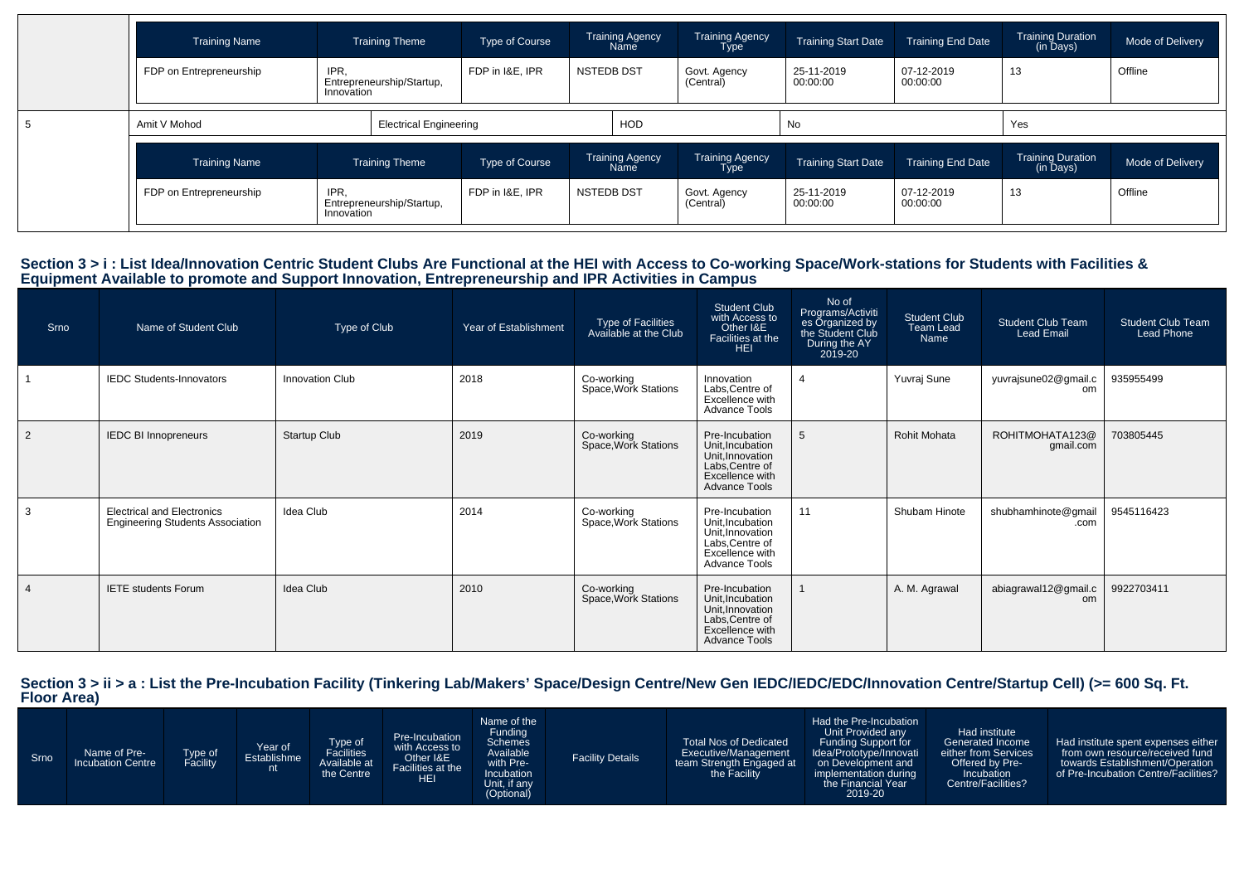| <b>Training Name</b>                          | <b>Training Theme</b>                           |                                              | Type of Course  |                         | Training Agency<br>Name | <b>Training Agency</b><br><b>Type</b> | <b>Training Start Date</b> | <b>Training End Date</b> | <b>Training Duration</b><br>(in Days) | Mode of Delivery |
|-----------------------------------------------|-------------------------------------------------|----------------------------------------------|-----------------|-------------------------|-------------------------|---------------------------------------|----------------------------|--------------------------|---------------------------------------|------------------|
| FDP on Entrepreneurship                       | IPR.<br>Entrepreneurship/Startup,<br>Innovation |                                              | FDP in I&E. IPR | <b>NSTEDB DST</b>       |                         | Govt. Agency<br>(Central)             | 25-11-2019<br>00:00:00     | 07-12-2019<br>00:00:00   | 13                                    | Offline          |
| Amit V Mohod                                  |                                                 | <b>Electrical Engineering</b>                |                 |                         | <b>HOD</b>              |                                       | No                         |                          | Yes                                   |                  |
| <b>Training Name</b>                          |                                                 | <b>Training Theme</b>                        | Type of Course  | Training Agency<br>Name |                         | <b>Training Agency</b><br><b>Type</b> | <b>Training Start Date</b> | <b>Training End Date</b> | <b>Training Duration</b><br>(in Days) | Mode of Delivery |
| IPR,<br>FDP on Entrepreneurship<br>Innovation |                                                 | FDP in I&E, IPR<br>Entrepreneurship/Startup, |                 | <b>NSTEDB DST</b>       |                         | Govt. Agency<br>(Central)             | 25-11-2019<br>00:00:00     | 07-12-2019<br>00:00:00   | 13                                    | Offline          |

## Section 3 > i : List Idea/Innovation Centric Student Clubs Are Functional at the HEI with Access to Co-working Space/Work-stations for Students with Facilities &<br>Equipment Available to promote and Support Innovation, Entre

| Srno           | Name of Student Club                                                         | Type of Club           | Year of Establishment | Type of Facilities<br>Available at the Club | <b>Student Club</b><br>with Access to<br>Other I&E<br>Facilities at the<br><b>HEI</b>                                | No of<br>Programs/Activiti<br>es Organized by<br>the Student Club<br>During the AY<br>2019-20 | <b>Student Club</b><br>Team Lead<br>Name | <b>Student Club Team</b><br>Lead Email | <b>Student Club Team</b><br><b>Lead Phone</b> |
|----------------|------------------------------------------------------------------------------|------------------------|-----------------------|---------------------------------------------|----------------------------------------------------------------------------------------------------------------------|-----------------------------------------------------------------------------------------------|------------------------------------------|----------------------------------------|-----------------------------------------------|
|                | <b>IEDC Students-Innovators</b>                                              | <b>Innovation Club</b> | 2018                  | Co-working<br>Space, Work Stations          | Innovation<br>Labs.Centre of<br>Excellence with<br><b>Advance Tools</b>                                              | $\boldsymbol{\Lambda}$                                                                        | Yuvraj Sune                              | yuvrajsune02@gmail.c<br>om             | 935955499                                     |
| $\overline{2}$ | <b>IEDC BI Innopreneurs</b>                                                  | Startup Club           | 2019                  | Co-working<br>Space, Work Stations          | Pre-Incubation<br>Unit, Incubation<br>Unit, Innovation<br>Labs, Centre of<br>Excellence with<br><b>Advance Tools</b> | 5                                                                                             | <b>Rohit Mohata</b>                      | ROHITMOHATA123@<br>gmail.com           | 703805445                                     |
| 3              | <b>Electrical and Electronics</b><br><b>Engineering Students Association</b> | Idea Club              | 2014                  | Co-working<br>Space, Work Stations          | Pre-Incubation<br>Unit, Incubation<br>Unit, Innovation<br>Labs, Centre of<br>Excellence with<br><b>Advance Tools</b> | 11                                                                                            | Shubam Hinote                            | shubhamhinote@gmail<br>.com            | 9545116423                                    |
|                | <b>IETE</b> students Forum                                                   | Idea Club              | 2010                  | Co-working<br>Space, Work Stations          | Pre-Incubation<br>Unit, Incubation<br>Unit, Innovation<br>Labs, Centre of<br>Excellence with<br><b>Advance Tools</b> |                                                                                               | A. M. Agrawal                            | abiagrawal12@gmail.c<br>om             | 9922703411                                    |

**Section 3 > ii > a : List the Pre-Incubation Facility (Tinkering Lab/Makers' Space/Design Centre/New Gen IEDC/IEDC/EDC/Innovation Centre/Startup Cell) (>= 600 Sq. Ft. Floor Area)**

| Srno <sup>1</sup> | Name of Pre-<br><b>Incubation Centre</b> | ype of<br><b>Facility</b> | Year of<br>Establishme | Type of<br>Facilities<br>Available at<br>the Centre | Pre-Incubation<br>with Access to<br>Other I&E<br>Facilities at the<br><b>HEI</b> | Name of the<br>Funding<br><b>Schemes</b><br>Available<br>with Pre-<br>Incubation<br>Unit, if any<br>(Optional) | <b>Facility Details</b> | <b>Total Nos of Dedicated</b><br>Executive/Management<br>team Strength Engaged at<br>the Facility | Had the Pre-Incubation<br>Unit Provided any<br><b>Funding Support for</b><br>Idea/Prototype/Innovati<br>on Development and<br>implementation during<br>the Financial Year<br>2019-20 | Had institute<br>Generated Income<br>either from Services<br>Offered by Pre-<br>Incubation<br>Centre/Facilities? | Had institute spent expenses either<br>from own resource/received fund<br>towards Establishment/Operation<br>of Pre-Incubation Centre/Facilities? |
|-------------------|------------------------------------------|---------------------------|------------------------|-----------------------------------------------------|----------------------------------------------------------------------------------|----------------------------------------------------------------------------------------------------------------|-------------------------|---------------------------------------------------------------------------------------------------|--------------------------------------------------------------------------------------------------------------------------------------------------------------------------------------|------------------------------------------------------------------------------------------------------------------|---------------------------------------------------------------------------------------------------------------------------------------------------|
|-------------------|------------------------------------------|---------------------------|------------------------|-----------------------------------------------------|----------------------------------------------------------------------------------|----------------------------------------------------------------------------------------------------------------|-------------------------|---------------------------------------------------------------------------------------------------|--------------------------------------------------------------------------------------------------------------------------------------------------------------------------------------|------------------------------------------------------------------------------------------------------------------|---------------------------------------------------------------------------------------------------------------------------------------------------|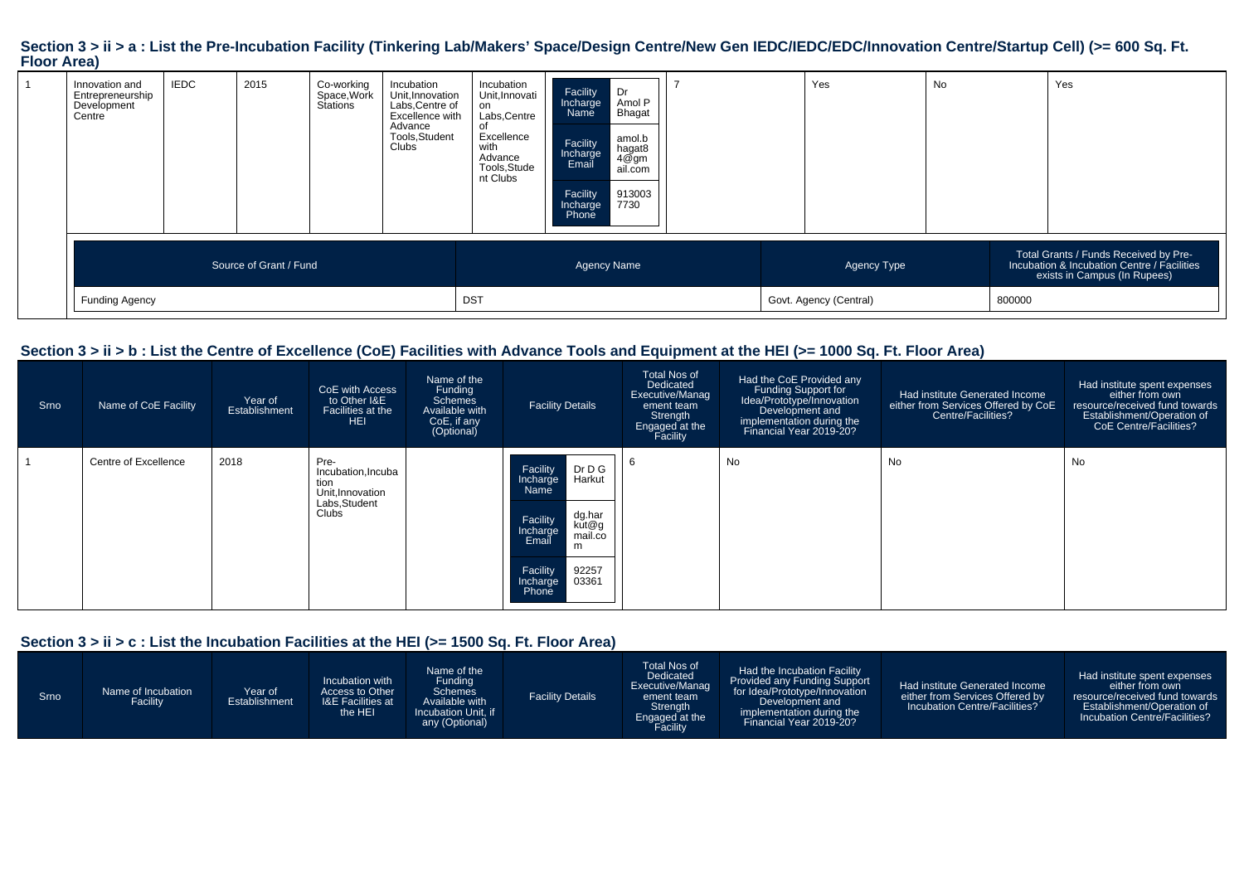#### Section 3 > ii > a : List the Pre-Incubation Facility (Tinkering Lab/Makers' Space/Design Centre/New Gen IEDC/IEDC/EDC/Innovation Centre/Startup Cell) (>= 600 Sq. Ft. **Floor Area)**

| Development<br>Centre |                        | Stations | Labs, Centre of<br>Excellence with<br>Advance<br>Tools, Student<br>Clubs | on<br>Labs, Centre<br>οf<br>Excellence<br>with<br>Advance<br>Tools, Stude<br>nt Clubs | Amol P<br>Incharge<br>Bhagat<br>Name<br>amol.b<br>Facility<br>hagat8<br>4@gm<br>Incharge<br>Email<br>ail.com<br>913003<br>Facility<br>7730<br>Incharge<br>Phone |  |                                       |        |                                                                                                                      |
|-----------------------|------------------------|----------|--------------------------------------------------------------------------|---------------------------------------------------------------------------------------|-----------------------------------------------------------------------------------------------------------------------------------------------------------------|--|---------------------------------------|--------|----------------------------------------------------------------------------------------------------------------------|
| <b>Funding Agency</b> | Source of Grant / Fund |          |                                                                          | <b>DST</b>                                                                            | <b>Agency Name</b>                                                                                                                                              |  | Agency Type<br>Govt. Agency (Central) | 800000 | Total Grants / Funds Received by Pre-<br>Incubation & Incubation Centre / Facilities<br>exists in Campus (In Rupees) |

## **Section 3 > ii > b : List the Centre of Excellence (CoE) Facilities with Advance Tools and Equipment at the HEI (>= 1000 Sq. Ft. Floor Area)**

| Srno | Name of CoE Facility | Year of<br><b>Establishment</b> | CoE with Access<br>to Other I&E<br>Facilities at the<br><b>HEI</b>              | Name of the<br>Funding<br><b>Schemes</b><br>Available with<br>CoE, if any<br>(Optional) | <b>Facility Details</b>                                                                                                                                                 | <b>Total Nos of</b><br>Dedicated<br>Executive/Manag<br>ement team<br>Strength<br>Engaged at the<br>Facility | Had the CoE Provided any<br>Funding Support for<br>Idea/Prototype/Innovation<br>Development and<br>implementation during the<br>Financial Year 2019-20? | Had institute Generated Income<br>either from Services Offered by CoE<br><b>Centre/Facilities?</b> | Had institute spent expenses<br>either from own<br>resource/received fund towards<br>Establishment/Operation of<br><b>CoE Centre/Facilities?</b> |
|------|----------------------|---------------------------------|---------------------------------------------------------------------------------|-----------------------------------------------------------------------------------------|-------------------------------------------------------------------------------------------------------------------------------------------------------------------------|-------------------------------------------------------------------------------------------------------------|---------------------------------------------------------------------------------------------------------------------------------------------------------|----------------------------------------------------------------------------------------------------|--------------------------------------------------------------------------------------------------------------------------------------------------|
|      | Centre of Excellence | 2018                            | Pre-<br>Incubation, Incuba<br>tion<br>Unit.Innovation<br>Labs, Student<br>Clubs |                                                                                         | Dr D G<br>Harkut<br>Facility<br>Incharge<br>Name<br>dg.har<br>Facility<br>kut@g<br>Incharge<br>mail.co<br>Email<br>m<br>92257<br>Facility<br>03361<br>Incharge<br>Phone |                                                                                                             | No                                                                                                                                                      | No                                                                                                 | No                                                                                                                                               |

## **Section 3 > ii > c : List the Incubation Facilities at the HEI (>= 1500 Sq. Ft. Floor Area)**

| Srno | Name of Incubation<br>Facility | Year of<br>Establishment | Incubation with<br>Access to Other<br><b>I&amp;E Facilities at</b><br>the HEI | Name of the<br>Fundina<br><b>Schemes</b><br>Available with<br>Incubation Unit. if<br>any (Optional) | <b>Facility Details</b> | Total Nos of<br>Dedicated<br>Executive/Manag<br>ement team<br>Strength<br>Engaged at the<br>Facility | Had the Incubation Facility<br><b>Provided any Funding Support</b><br>for Idea/Prototype/Innovation<br>Development and<br>implementation during the<br>Financial Year 2019-20? | Had institute Generated Income<br>either from Services Offered by<br>Incubation Centre/Facilities? | Had institute spent expenses<br>either from own<br>resource/received fund towards<br><b>Establishment/Operation of</b><br>Incubation Centre/Facilities? |
|------|--------------------------------|--------------------------|-------------------------------------------------------------------------------|-----------------------------------------------------------------------------------------------------|-------------------------|------------------------------------------------------------------------------------------------------|--------------------------------------------------------------------------------------------------------------------------------------------------------------------------------|----------------------------------------------------------------------------------------------------|---------------------------------------------------------------------------------------------------------------------------------------------------------|
|------|--------------------------------|--------------------------|-------------------------------------------------------------------------------|-----------------------------------------------------------------------------------------------------|-------------------------|------------------------------------------------------------------------------------------------------|--------------------------------------------------------------------------------------------------------------------------------------------------------------------------------|----------------------------------------------------------------------------------------------------|---------------------------------------------------------------------------------------------------------------------------------------------------------|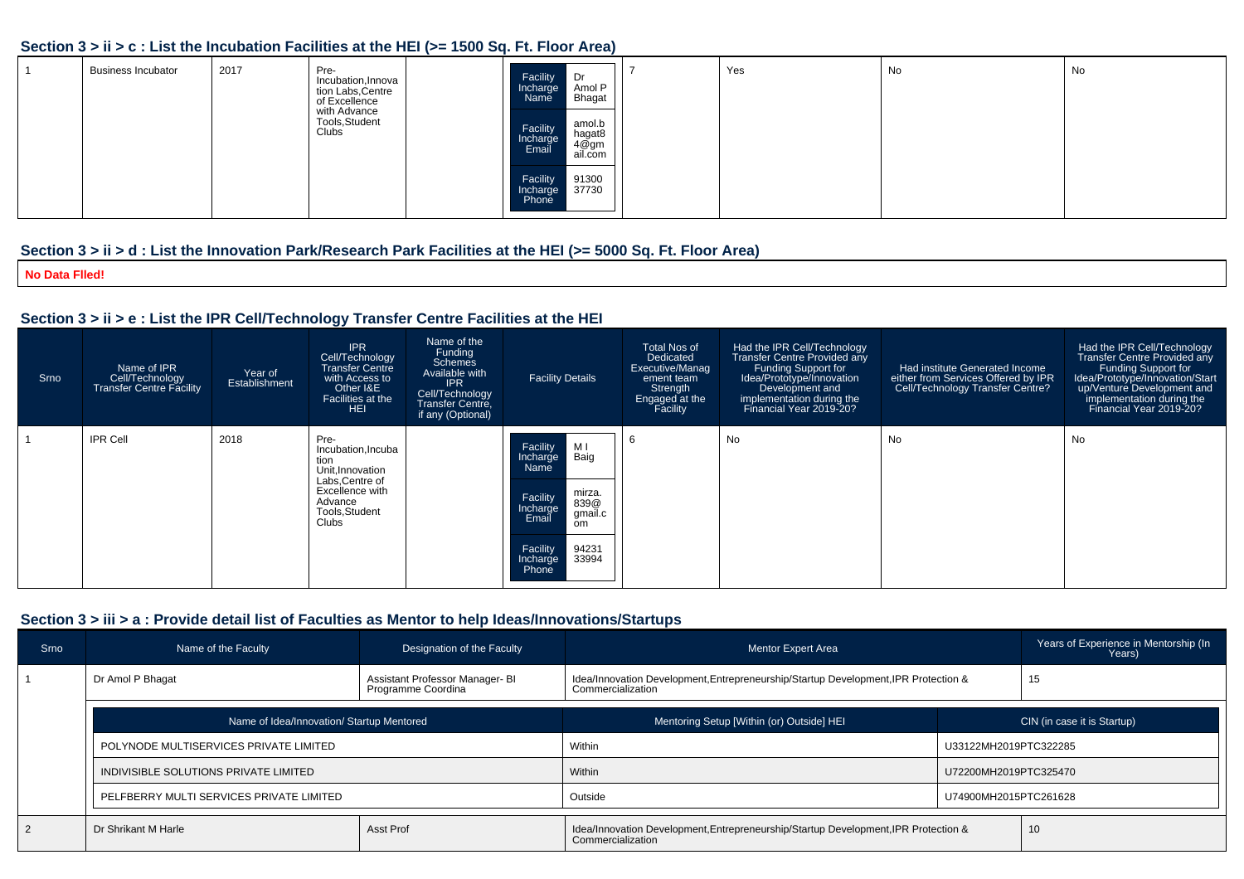#### **Section 3 > ii > c : List the Incubation Facilities at the HEI (>= 1500 Sq. Ft. Floor Area)**

| <b>Business Incubator</b> | 2017 | Pre-<br>Incubation, Innova<br>tion Labs, Centre<br>of Excellence<br>with Advance<br>Tools, Student<br>Clubs | Facility<br>Dr<br>Amol P<br>Incharge<br><b>Bhagat</b><br>Name<br>amol.b<br>Facility<br>hagat8<br>Incharge<br>4@̃gm<br>ail.com<br>Email | Yes | No | No |
|---------------------------|------|-------------------------------------------------------------------------------------------------------------|----------------------------------------------------------------------------------------------------------------------------------------|-----|----|----|
|                           |      |                                                                                                             | 91300<br>Facility<br>37730<br>Incharge<br>Phone                                                                                        |     |    |    |

## **Section 3 > ii > d : List the Innovation Park/Research Park Facilities at the HEI (>= 5000 Sq. Ft. Floor Area)**

**No Data Flled!**

## **Section 3 > ii > e : List the IPR Cell/Technology Transfer Centre Facilities at the HEI**

| <b>Srno</b> | Name of IPR<br>Cell/Technology<br><b>Transfer Centre Facility</b> | Year of<br>Establishment | <b>IPR</b><br>Cell/Technology<br><b>Transfer Centre</b><br>with Access to<br>Other I&E<br>Facilities at the<br><b>HEI</b>          | Name of the<br>Funding<br><b>Schemes</b><br>Available with<br><b>IPR</b><br>Cell/Technology<br><b>Transfer Centre,</b><br>if any (Optional) | <b>Facility Details</b>                                                                                        | Total Nos of<br>Dedicated<br>Executive/Manag<br>ement team<br>Strength<br>Engaged at the<br>Facility | Had the IPR Cell/Technology<br><b>Transfer Centre Provided any</b><br>Funding Support for<br>Idea/Prototype/Innovation<br>Development and<br>implementation during the<br>Financial Year 2019-20? | Had institute Generated Income<br>either from Services Offered by IPR<br>Cell/Technology Transfer Centre? | Had the IPR Cell/Technology<br>Transfer Centre Provided any<br>Funding Support for<br>Idea/Prototype/Innovation/Start<br>up/Venture Development and<br>implementation during the<br>Financial Year 2019-20? |
|-------------|-------------------------------------------------------------------|--------------------------|------------------------------------------------------------------------------------------------------------------------------------|---------------------------------------------------------------------------------------------------------------------------------------------|----------------------------------------------------------------------------------------------------------------|------------------------------------------------------------------------------------------------------|---------------------------------------------------------------------------------------------------------------------------------------------------------------------------------------------------|-----------------------------------------------------------------------------------------------------------|-------------------------------------------------------------------------------------------------------------------------------------------------------------------------------------------------------------|
|             | <b>IPR Cell</b>                                                   | 2018                     | Pre-<br>Incubation, Incuba<br>tion<br>Unit, Innovation<br>Labs, Centre of<br>Excellence with<br>Advance<br>Tools, Student<br>Clubs |                                                                                                                                             | Facility<br>МI<br>Baig<br>Incharge<br>Name<br>mirza.<br>Facility<br>839@<br>Incharge<br>gmail.c<br>Email<br>om | - 6                                                                                                  | No                                                                                                                                                                                                | No                                                                                                        | No                                                                                                                                                                                                          |
|             |                                                                   |                          |                                                                                                                                    |                                                                                                                                             | 94231<br>Facility<br>33994<br>Incharge<br>Phone                                                                |                                                                                                      |                                                                                                                                                                                                   |                                                                                                           |                                                                                                                                                                                                             |

## **Section 3 > iii > a : Provide detail list of Faculties as Mentor to help Ideas/Innovations/Startups**

| Srno           | Name of the Faculty                                                       | Designation of the Faculty | Mentor Expert Area                                                                                       |                             | Years of Experience in Mentorship (In<br>Years) |  |  |
|----------------|---------------------------------------------------------------------------|----------------------------|----------------------------------------------------------------------------------------------------------|-----------------------------|-------------------------------------------------|--|--|
|                | Dr Amol P Bhagat<br>Assistant Professor Manager- BI<br>Programme Coordina |                            | Idea/Innovation Development, Entrepreneurship/Startup Development, IPR Protection &<br>Commercialization |                             | 15                                              |  |  |
|                | Name of Idea/Innovation/ Startup Mentored                                 |                            | Mentoring Setup [Within (or) Outside] HEI                                                                | CIN (in case it is Startup) |                                                 |  |  |
|                | POLYNODE MULTISERVICES PRIVATE LIMITED                                    |                            | Within                                                                                                   | U33122MH2019PTC322285       |                                                 |  |  |
|                | INDIVISIBLE SOLUTIONS PRIVATE LIMITED                                     |                            | Within                                                                                                   | U72200MH2019PTC325470       |                                                 |  |  |
|                | PELFBERRY MULTI SERVICES PRIVATE LIMITED                                  |                            | Outside                                                                                                  | U74900MH2015PTC261628       |                                                 |  |  |
| $\overline{2}$ | Dr Shrikant M Harle                                                       | Asst Prof                  | Idea/Innovation Development, Entrepreneurship/Startup Development, IPR Protection &<br>Commercialization |                             | 10                                              |  |  |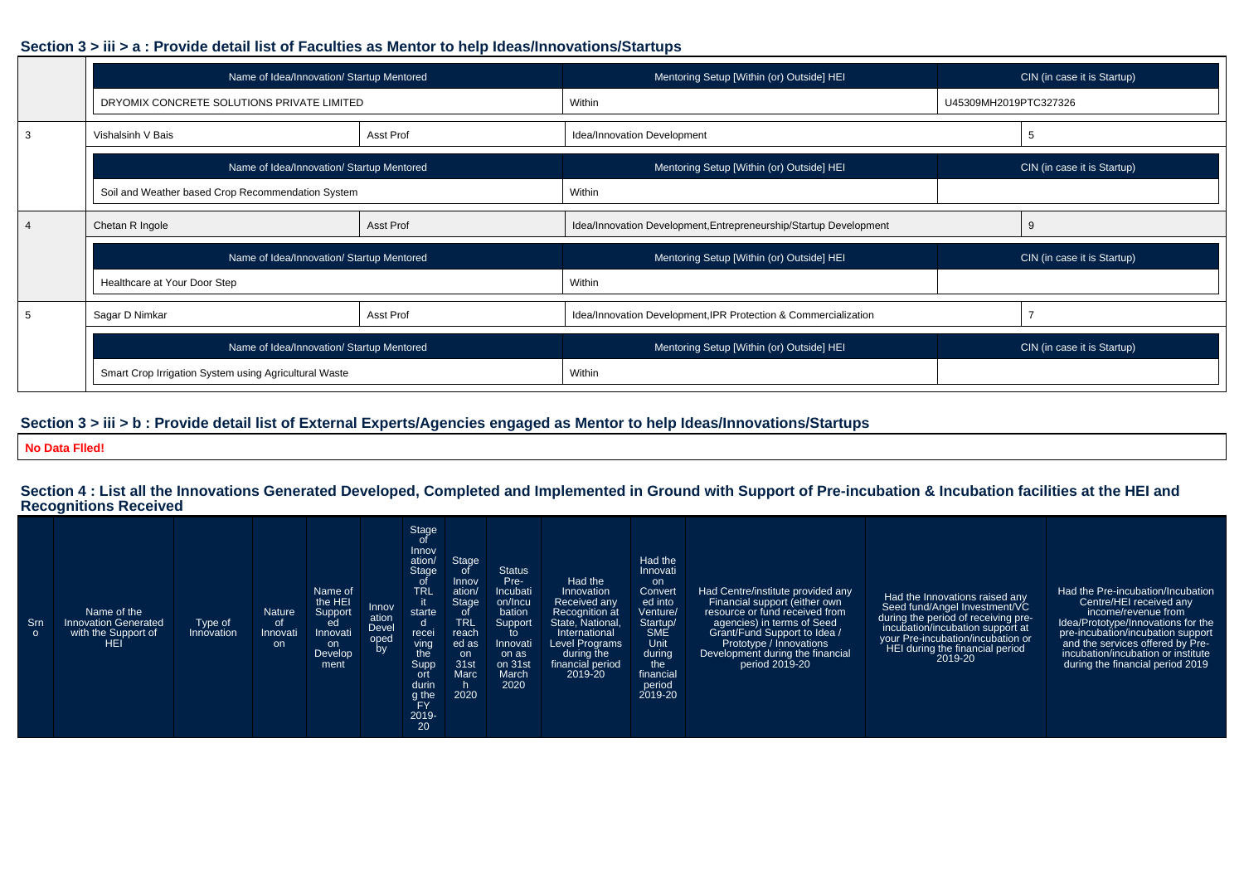## **Section 3 > iii > a : Provide detail list of Faculties as Mentor to help Ideas/Innovations/Startups**

| Name of Idea/Innovation/ Startup Mentored             |                  | Mentoring Setup [Within (or) Outside] HEI                         | CIN (in case it is Startup) |                             |  |
|-------------------------------------------------------|------------------|-------------------------------------------------------------------|-----------------------------|-----------------------------|--|
| DRYOMIX CONCRETE SOLUTIONS PRIVATE LIMITED            |                  | Within                                                            | U45309MH2019PTC327326       |                             |  |
| Vishalsinh V Bais                                     | Asst Prof        | Idea/Innovation Development                                       |                             |                             |  |
| Name of Idea/Innovation/ Startup Mentored             |                  | Mentoring Setup [Within (or) Outside] HEI                         |                             | CIN (in case it is Startup) |  |
| Soil and Weather based Crop Recommendation System     |                  | Within                                                            |                             |                             |  |
| Chetan R Ingole                                       | <b>Asst Prof</b> | Idea/Innovation Development, Entrepreneurship/Startup Development |                             | 9                           |  |
| Name of Idea/Innovation/ Startup Mentored             |                  | Mentoring Setup [Within (or) Outside] HEI                         |                             | CIN (in case it is Startup) |  |
| Healthcare at Your Door Step                          |                  | Within                                                            |                             |                             |  |
| Sagar D Nimkar                                        | Asst Prof        | Idea/Innovation Development, IPR Protection & Commercialization   |                             |                             |  |
| Name of Idea/Innovation/ Startup Mentored             |                  | Mentoring Setup [Within (or) Outside] HEI                         |                             | CIN (in case it is Startup) |  |
| Smart Crop Irrigation System using Agricultural Waste |                  | Within                                                            |                             |                             |  |

## **Section 3 > iii > b : Provide detail list of External Experts/Agencies engaged as Mentor to help Ideas/Innovations/Startups**

**No Data Flled!**

## **Section 4 : List all the Innovations Generated Developed, Completed and Implemented in Ground with Support of Pre-incubation & Incubation facilities at the HEI and Recognitions Received**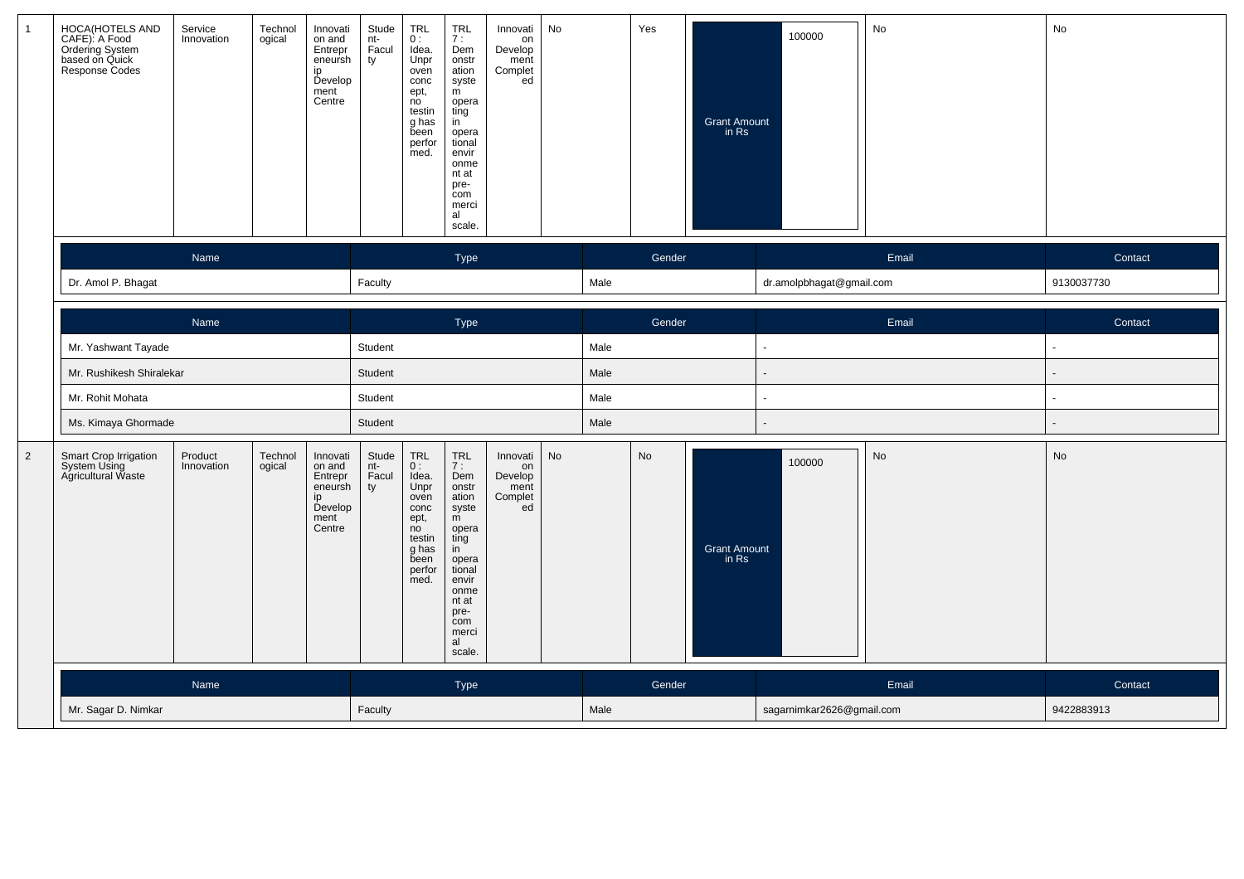| $\mathbf{1}$   | HOCA(HOTELS AND<br>CAFE): A Food<br>Ordering System<br>based on Quick<br><b>Response Codes</b> | Service<br>Innovation | Technol<br>ogical | Innovati<br>on and<br>Entrepr<br>eneursh<br>ip<br>Develop<br>ment<br>Centre | Stude<br>nt-<br>Facul<br>ty                           | <b>TRL</b><br>0:<br>Idea.<br>Unpr<br>oven<br>conc<br>ept,<br>no<br>testin<br>g has<br>been<br>perfor<br>med. | TRL<br>7 :<br>Dem<br>onstr<br>ation<br>syste<br>m<br>opera<br>ting<br>in<br>opera<br>tional<br>envir<br>onme<br>nt at<br>pre-<br>com<br>merci<br>al<br>scale.                                  | Innovati<br>on<br>Develop<br>ment<br>Complet<br>ed | No |      | Yes    | <b>Grant Amount</b><br>in Rs | 100000                    | No    | No         |
|----------------|------------------------------------------------------------------------------------------------|-----------------------|-------------------|-----------------------------------------------------------------------------|-------------------------------------------------------|--------------------------------------------------------------------------------------------------------------|------------------------------------------------------------------------------------------------------------------------------------------------------------------------------------------------|----------------------------------------------------|----|------|--------|------------------------------|---------------------------|-------|------------|
|                |                                                                                                | Name                  |                   |                                                                             |                                                       |                                                                                                              | Type                                                                                                                                                                                           |                                                    |    |      | Gender |                              |                           | Email | Contact    |
|                | Dr. Amol P. Bhagat                                                                             |                       |                   |                                                                             | Faculty                                               |                                                                                                              |                                                                                                                                                                                                |                                                    |    | Male |        |                              | dr.amolpbhagat@gmail.com  |       | 9130037730 |
|                |                                                                                                | Name                  |                   |                                                                             |                                                       |                                                                                                              | Type                                                                                                                                                                                           |                                                    |    |      | Gender |                              |                           | Email | Contact    |
|                | Mr. Yashwant Tayade                                                                            |                       |                   |                                                                             | Student                                               |                                                                                                              |                                                                                                                                                                                                |                                                    |    | Male |        |                              | $\blacksquare$            |       |            |
|                | Mr. Rushikesh Shiralekar                                                                       |                       |                   |                                                                             | Student                                               |                                                                                                              |                                                                                                                                                                                                |                                                    |    | Male |        |                              | $\sim$                    |       |            |
|                | Mr. Rohit Mohata                                                                               |                       |                   |                                                                             | Student                                               |                                                                                                              |                                                                                                                                                                                                |                                                    |    | Male |        |                              | ÷.                        |       |            |
|                | Ms. Kimaya Ghormade                                                                            |                       |                   |                                                                             | Student                                               |                                                                                                              |                                                                                                                                                                                                |                                                    |    | Male |        |                              |                           |       |            |
| $\overline{2}$ | Smart Crop Irrigation<br>System Using<br>Agricultural Waste                                    | Product<br>Innovation | Technol<br>ogical | Innovati<br>on and<br>Entrepr<br>eneursh<br>ip<br>Develop<br>ment<br>Centre | Stude<br>$\frac{\text{nt}}{\text{nt}}$<br>Facul<br>ty | <b>TRL</b><br>0:<br>Idea.<br>Unpr<br>oven<br>conc<br>ept,<br>no<br>testin<br>g has<br>been<br>perfor<br>med. | $\begin{array}{c}\nTRL \\ 7: \n\end{array}$<br>Dem<br>onstr<br>ation<br>syste<br>m<br>opera<br>ting<br>in<br>opera<br>tional<br>envir<br>onme<br>nt at<br>pre-<br>com<br>merci<br>al<br>scale. | Innovati<br>on<br>Develop<br>ment<br>Complet<br>ed | No |      | No     | <b>Grant Amount</b><br>in Rs | 100000                    | No    | No         |
|                |                                                                                                | <b>Name</b>           |                   |                                                                             |                                                       |                                                                                                              | Type                                                                                                                                                                                           |                                                    |    |      | Gender |                              |                           | Email | Contact    |
|                | Mr. Sagar D. Nimkar                                                                            |                       |                   |                                                                             | Faculty                                               |                                                                                                              |                                                                                                                                                                                                |                                                    |    | Male |        |                              | sagarnimkar2626@gmail.com |       | 9422883913 |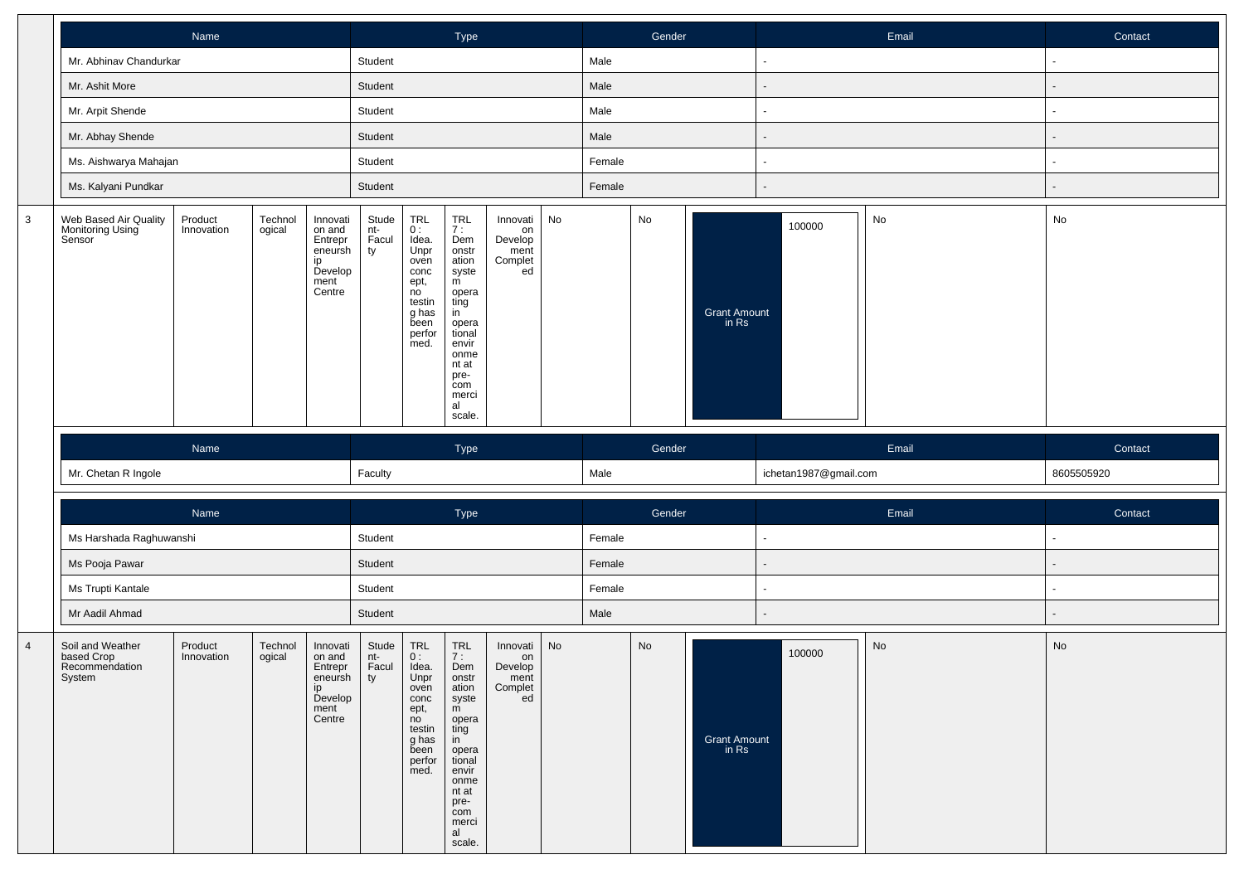|              | Name                                                |                       |                   |                                                                             | Type                        |                                                                                                                                                        |                                                                                                                                                                                                |                                                    | Gender |                | Email  |                       |                       | Contact |                |         |
|--------------|-----------------------------------------------------|-----------------------|-------------------|-----------------------------------------------------------------------------|-----------------------------|--------------------------------------------------------------------------------------------------------------------------------------------------------|------------------------------------------------------------------------------------------------------------------------------------------------------------------------------------------------|----------------------------------------------------|--------|----------------|--------|-----------------------|-----------------------|---------|----------------|---------|
|              | Mr. Abhinav Chandurkar                              |                       |                   |                                                                             | Student                     |                                                                                                                                                        |                                                                                                                                                                                                |                                                    |        | Male           |        |                       |                       |         |                |         |
|              | Mr. Ashit More                                      |                       |                   |                                                                             | Student                     |                                                                                                                                                        |                                                                                                                                                                                                |                                                    |        | Male           |        |                       |                       |         |                |         |
|              | Mr. Arpit Shende                                    |                       |                   |                                                                             | Student                     |                                                                                                                                                        |                                                                                                                                                                                                |                                                    |        | Male           |        |                       |                       |         | $\blacksquare$ |         |
|              | Mr. Abhay Shende                                    |                       |                   |                                                                             | Student                     |                                                                                                                                                        |                                                                                                                                                                                                |                                                    |        | Male           |        |                       |                       |         |                |         |
|              | Ms. Aishwarya Mahajan                               |                       |                   |                                                                             | Student                     |                                                                                                                                                        |                                                                                                                                                                                                |                                                    |        | Female         |        |                       | $\sim$                |         | ä,             |         |
|              | Ms. Kalyani Pundkar                                 |                       |                   |                                                                             | Student                     |                                                                                                                                                        |                                                                                                                                                                                                |                                                    |        | Female         |        |                       |                       |         | $\blacksquare$ |         |
| $\mathbf{3}$ | Web Based Air Quality<br>Monitoring Using<br>Sensor | Product<br>Innovation | Technol<br>ogical | Innovati<br>on and<br>Entrepr<br>eneursh<br>ip<br>Develop<br>ment<br>Centre | Stude<br>nt-<br>Facul<br>ty | $\begin{array}{c} \mathsf{TRL} \\ \mathsf{0}: \end{array}$<br>Idea.<br>Unpr<br>oven<br>conc<br>ept,<br>no<br>testin<br>g has<br>been<br>perfor<br>med. | $\begin{array}{c}\nTRL \\ 7: \n\end{array}$<br>Dem<br>onstr<br>ation<br>syste<br>m<br>opera<br>ting<br>in<br>opera<br>tional<br>envir<br>onme<br>nt at<br>pre-<br>com<br>merci<br>al<br>scale. | Innovati<br>on<br>Develop<br>ment<br>Complet<br>ed | No     |                | No     | Grant Amount<br>in Rs | 100000                | No      | No             |         |
|              |                                                     | Name                  |                   |                                                                             | Type                        |                                                                                                                                                        |                                                                                                                                                                                                |                                                    |        | Gender         |        |                       |                       | Email   |                | Contact |
|              | Mr. Chetan R Ingole                                 |                       |                   |                                                                             | Faculty                     |                                                                                                                                                        |                                                                                                                                                                                                |                                                    |        |                |        |                       |                       |         |                |         |
|              |                                                     |                       |                   |                                                                             |                             |                                                                                                                                                        |                                                                                                                                                                                                |                                                    |        | Male           |        |                       | ichetan1987@gmail.com |         | 8605505920     |         |
|              |                                                     |                       |                   |                                                                             |                             |                                                                                                                                                        |                                                                                                                                                                                                |                                                    |        |                |        |                       |                       |         |                |         |
|              |                                                     | Name                  |                   |                                                                             |                             |                                                                                                                                                        | Type                                                                                                                                                                                           |                                                    |        |                | Gender |                       |                       | Email   |                | Contact |
|              | Ms Harshada Raghuwanshi                             |                       |                   |                                                                             | Student                     |                                                                                                                                                        |                                                                                                                                                                                                |                                                    |        | Female         |        |                       | $\sim$                |         | $\blacksquare$ |         |
|              | Ms Pooja Pawar                                      |                       |                   |                                                                             | Student                     |                                                                                                                                                        |                                                                                                                                                                                                |                                                    |        | Female         |        |                       |                       |         |                |         |
|              | Ms Trupti Kantale<br>Mr Aadil Ahmad                 |                       |                   |                                                                             | Student<br>Student          |                                                                                                                                                        |                                                                                                                                                                                                |                                                    |        | Female<br>Male |        |                       |                       |         |                |         |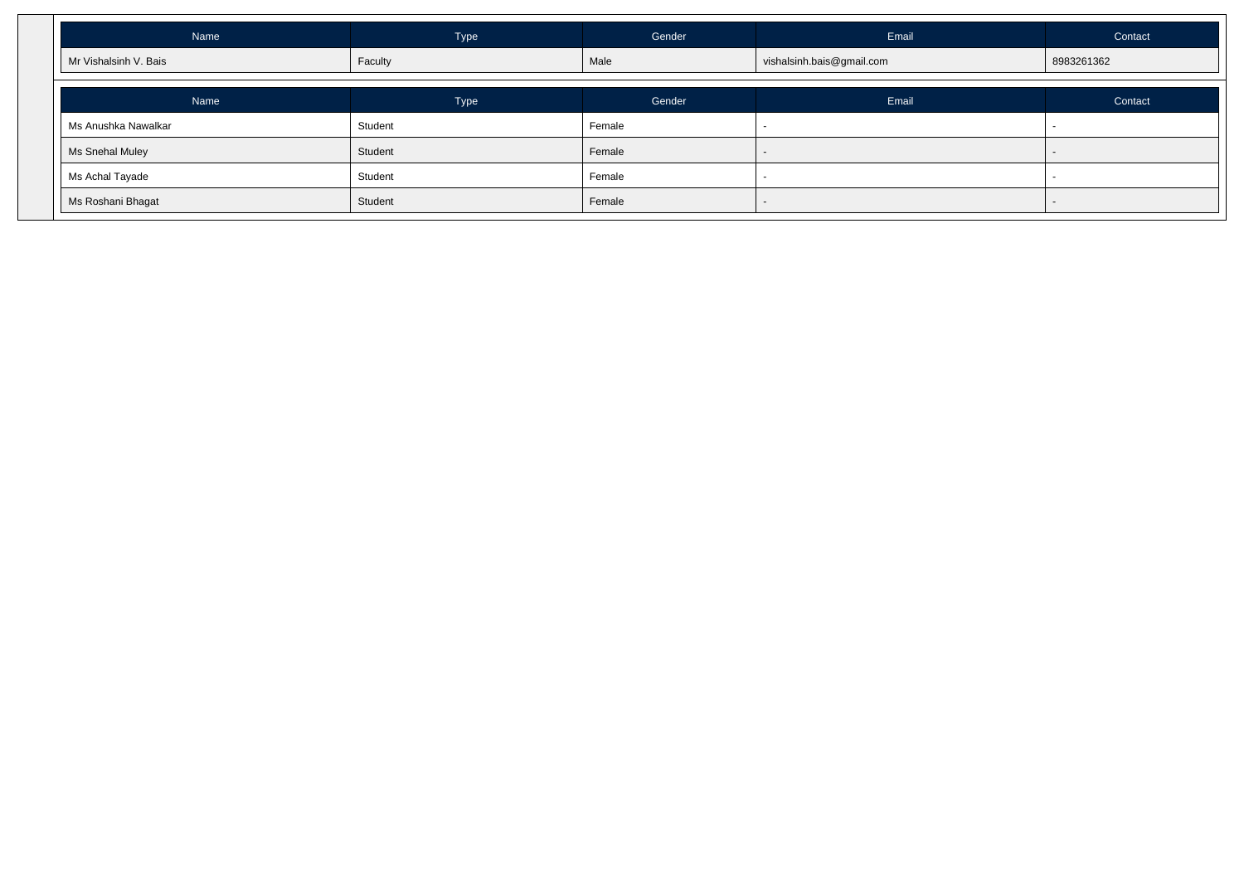| Name                  | Type    | Gender | Email                     | Contact    |
|-----------------------|---------|--------|---------------------------|------------|
| Mr Vishalsinh V. Bais | Faculty | Male   | vishalsinh.bais@gmail.com | 8983261362 |
| Name                  | Type    | Gender | Email                     | Contact    |
| Ms Anushka Nawalkar   | Student | Female |                           |            |
| Ms Snehal Muley       | Student | Female | $\sim$                    |            |
| Ms Achal Tayade       | Student | Female |                           |            |
| Ms Roshani Bhagat     | Student | Female |                           |            |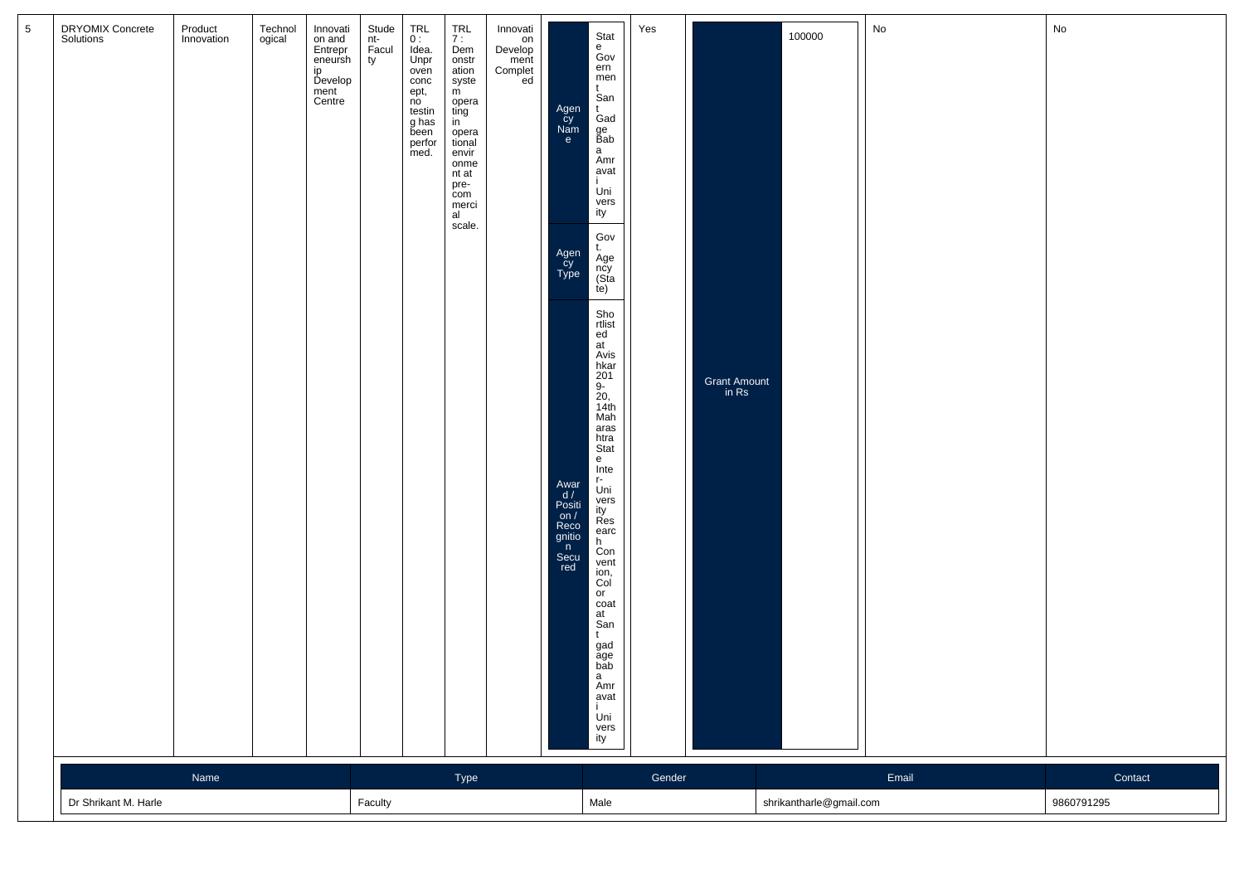| DRYOMIX Concrete<br>Solutions | Product<br>Innovation | Technol<br>ogical | Innovati<br>on and<br>Entrepr<br>eneursh<br>ip<br>Develop<br>ment<br>Centre | Stude<br>nt-<br>Facul<br>ty | $TRL$<br>$0:$<br>Idea.<br>Unpr<br>oven<br>conc<br>ept,<br>no<br>testin<br>g has<br>been<br>perfor<br>med. | $\begin{array}{c}\nTRL \\ 7: \n\end{array}$<br>Dem<br>onstr<br>ation<br>syste<br>m<br>opera<br>ting<br>in<br>opera<br>tional<br>envir<br>onme<br>nt at<br>pre-<br>com<br>merci<br>al<br>scale. | Innovati<br>on<br>Develop<br>ment<br>Complet<br>ed | Agen<br>Cy<br>Nam<br>e<br>Agen<br>Cy<br>Type<br>Awar<br>$d /$<br>Positi<br>on $/$<br>Reco<br>gnitio<br>n<br>Secu<br>red | Stat<br>e<br>Gov<br>ern<br>men<br>t<br>San<br>Gad<br>ge<br>Bab<br>a<br>Amr<br>avat<br>Uni<br>vers<br>ity<br>Gov<br>t.<br>Age<br>ncy<br>(Sta<br>te)<br>Sho<br>rtlist<br>ed<br>at<br>Avis<br>hkar<br>201<br>9-<br>20,<br>14th<br>Mah<br>aras<br>htra<br>Stat<br>e<br>Inte<br>r-<br>Uni<br>vers<br>ity<br>Res<br>earc<br>h.<br>Con<br>vent<br>ion,<br>Col<br>or<br>coat<br>at<br>San<br>t<br>gad<br>age<br>bab<br>a<br>Amr<br>avat<br>Ť<br>Uni<br>vers<br>ity | Yes    | Grant Amount<br>in Rs | 100000                  | No    | No                    |
|-------------------------------|-----------------------|-------------------|-----------------------------------------------------------------------------|-----------------------------|-----------------------------------------------------------------------------------------------------------|------------------------------------------------------------------------------------------------------------------------------------------------------------------------------------------------|----------------------------------------------------|-------------------------------------------------------------------------------------------------------------------------|------------------------------------------------------------------------------------------------------------------------------------------------------------------------------------------------------------------------------------------------------------------------------------------------------------------------------------------------------------------------------------------------------------------------------------------------------------|--------|-----------------------|-------------------------|-------|-----------------------|
| Dr Shrikant M. Harle          | Name                  |                   |                                                                             | Faculty                     |                                                                                                           | Type                                                                                                                                                                                           |                                                    |                                                                                                                         | Male                                                                                                                                                                                                                                                                                                                                                                                                                                                       | Gender |                       | shrikantharle@gmail.com | Email | Contact<br>9860791295 |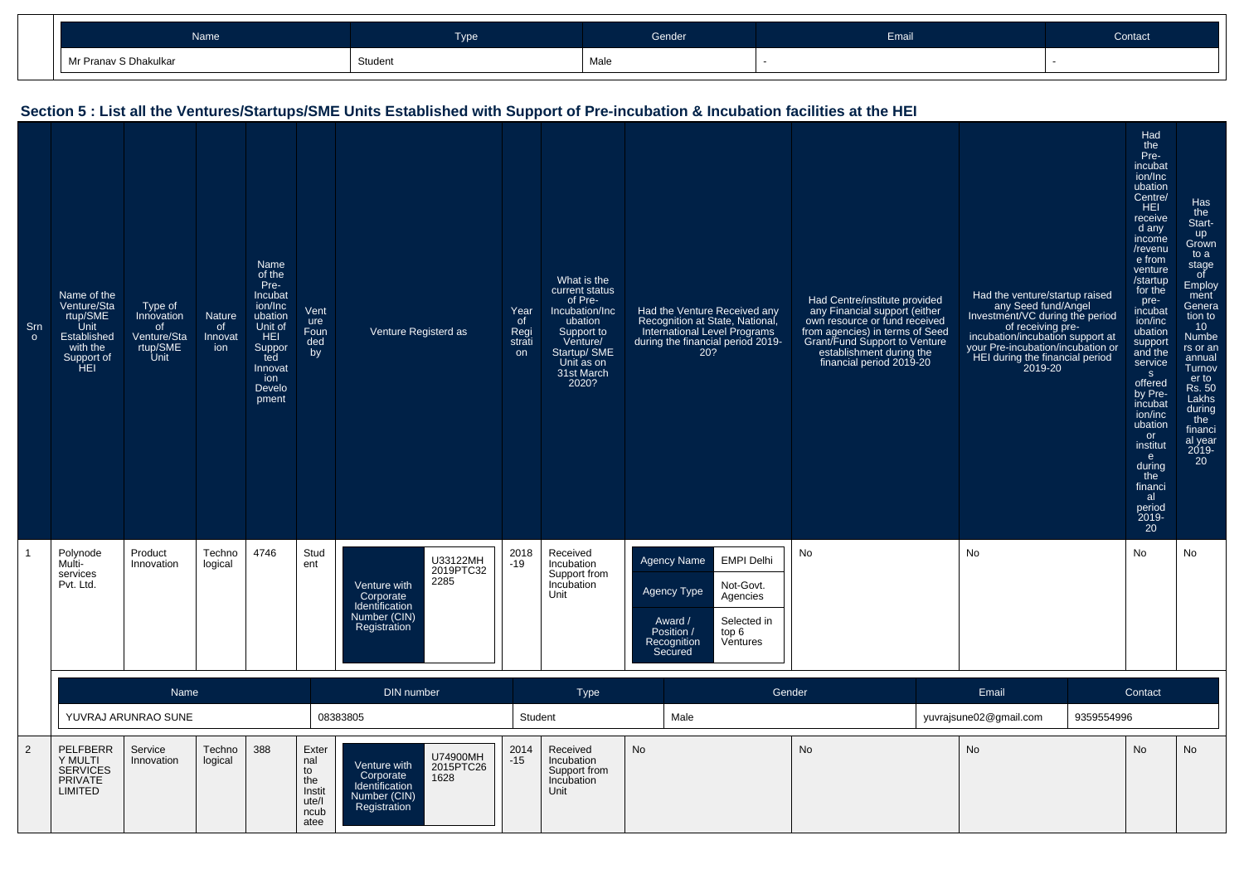| <b>Name</b>           | Tyne    | Gender | Email | Contact |
|-----------------------|---------|--------|-------|---------|
| Mr Pranav S Dhakulkar | Student | Male   |       |         |

## **Section 5 : List all the Ventures/Startups/SME Units Established with Support of Pre-incubation & Incubation facilities at the HEI**

| Sm<br>$\circ$ | Name of the<br>Venture/Sta<br>rtup/SME<br>Unit<br>Established<br>with the<br>Support of<br>HEI | Type of<br>Innovation<br><sub>of</sub><br>Venture/Sta<br>rtup/SME<br>Unit | Nature<br>of<br>Innovat<br>ion | <b>Name</b><br>of the<br>Pre-<br><b>Incubat</b><br>ion/Inc<br>ubation<br>Unit of<br><b>HEI</b><br>Suppor<br>ted<br>Innovat<br>ion<br>Develo<br>pment | Vent<br>ure<br>Foun<br>ded<br>by                             | Venture Registerd as                                                                                                | Year<br><sub>of</sub><br>Regi<br>strati<br>on | What is the<br>current status<br>of Pre-<br>Incubation/Inc<br>ubation<br>Support to<br>Venture/<br>Startup/ SME<br>Unit as on<br>31st March<br>2020? | Had the Venture Received any<br>Recognition at State, National,<br>International Level Programs<br>during the financial period 2019-<br>20?                            | Had Centre/institute provided<br>any Financial support (either<br>own resource or fund received<br>from agencies) in terms of Seed<br>Grant/Fund Support to Venture<br>establishment during the<br>financial period 2019-20 | Had the venture/startup raised<br>any Seed fund/Angel<br>Investment/VC during the period<br>of receiving pre-<br>incubation/incubation support at<br>your Pre-incubation/incubation or<br>HEI during the financial period<br>2019-20 |            | Had<br>the<br>Pre-<br>incubat<br>ion/Inc<br>ubation<br>Centre/<br>HEI<br>receive<br>d any<br>income<br>/revenu<br>e from<br>venture<br>/startup<br>for the<br>pre-<br>incubat<br>ion/inc<br>ubation<br>support<br>and the<br>service<br>S<br>offered<br>by Pre-<br>incubat<br>ion/inc<br>ubation<br>or<br>institut<br>e<br>during<br>the<br>financi<br>al<br>period<br>$2019-20$ | Has<br>the<br>Start-<br>up<br>Grown<br>to a<br>stage<br>of<br>Employ<br>ment<br>Genera<br>tion to<br>10<br>Numbe<br>rs or an<br>annual<br>Turnov<br>er to<br>Rs. 50<br>Lakhs<br>during<br>the<br>financi<br>al year<br>2019-<br>20 |
|---------------|------------------------------------------------------------------------------------------------|---------------------------------------------------------------------------|--------------------------------|------------------------------------------------------------------------------------------------------------------------------------------------------|--------------------------------------------------------------|---------------------------------------------------------------------------------------------------------------------|-----------------------------------------------|------------------------------------------------------------------------------------------------------------------------------------------------------|------------------------------------------------------------------------------------------------------------------------------------------------------------------------|-----------------------------------------------------------------------------------------------------------------------------------------------------------------------------------------------------------------------------|--------------------------------------------------------------------------------------------------------------------------------------------------------------------------------------------------------------------------------------|------------|----------------------------------------------------------------------------------------------------------------------------------------------------------------------------------------------------------------------------------------------------------------------------------------------------------------------------------------------------------------------------------|------------------------------------------------------------------------------------------------------------------------------------------------------------------------------------------------------------------------------------|
|               | Polynode<br>Multi-<br>services<br>Pvt. Ltd.                                                    | Product<br>Innovation                                                     | Techno<br>logical              | 4746                                                                                                                                                 | Stud<br>ent                                                  | U33122MH<br>2019PTC32<br>2285<br>Venture with<br>Corporate<br>Identification<br>Number (CIN)<br>Registration        | 2018<br>$-19$                                 | Received<br>Incubation<br>Support from<br>Incubation<br>Unit                                                                                         | <b>EMPI Delhi</b><br><b>Agency Name</b><br>Not-Govt.<br>Agency Type<br>Agencies<br>Selected in<br>Award /<br>top 6<br>Position /<br>Recognition<br>Ventures<br>Secured | <b>No</b>                                                                                                                                                                                                                   | <b>No</b>                                                                                                                                                                                                                            |            | No                                                                                                                                                                                                                                                                                                                                                                               | No                                                                                                                                                                                                                                 |
|               |                                                                                                | Name                                                                      |                                |                                                                                                                                                      |                                                              | <b>DIN</b> number                                                                                                   |                                               | <b>Type</b>                                                                                                                                          |                                                                                                                                                                        | Gender                                                                                                                                                                                                                      | Email                                                                                                                                                                                                                                |            | Contact                                                                                                                                                                                                                                                                                                                                                                          |                                                                                                                                                                                                                                    |
|               |                                                                                                | YUVRAJ ARUNRAO SUNE                                                       |                                |                                                                                                                                                      |                                                              | 08383805                                                                                                            | Student                                       |                                                                                                                                                      | Male                                                                                                                                                                   |                                                                                                                                                                                                                             | yuvrajsune02@gmail.com                                                                                                                                                                                                               | 9359554996 |                                                                                                                                                                                                                                                                                                                                                                                  |                                                                                                                                                                                                                                    |
| 2             | PELFBERR<br>Y MULTI<br><b>SERVICES</b><br><b>PRIVATE</b><br><b>LIMITED</b>                     | Service<br>Innovation                                                     | Techno<br>logical              | 388                                                                                                                                                  | Exter<br>nal<br>to<br>the<br>Instit<br>ute/l<br>ncub<br>atee | U74900MH<br>Venture with<br>2015PTC26<br>Corporate<br>1628<br>Identification<br>Number (CIN)<br><b>Registration</b> | 2014<br>$-15$                                 | Received<br>Incubation<br>Support from<br>Incubation<br>Unit                                                                                         | No                                                                                                                                                                     | No                                                                                                                                                                                                                          | <b>No</b>                                                                                                                                                                                                                            |            | No                                                                                                                                                                                                                                                                                                                                                                               | No                                                                                                                                                                                                                                 |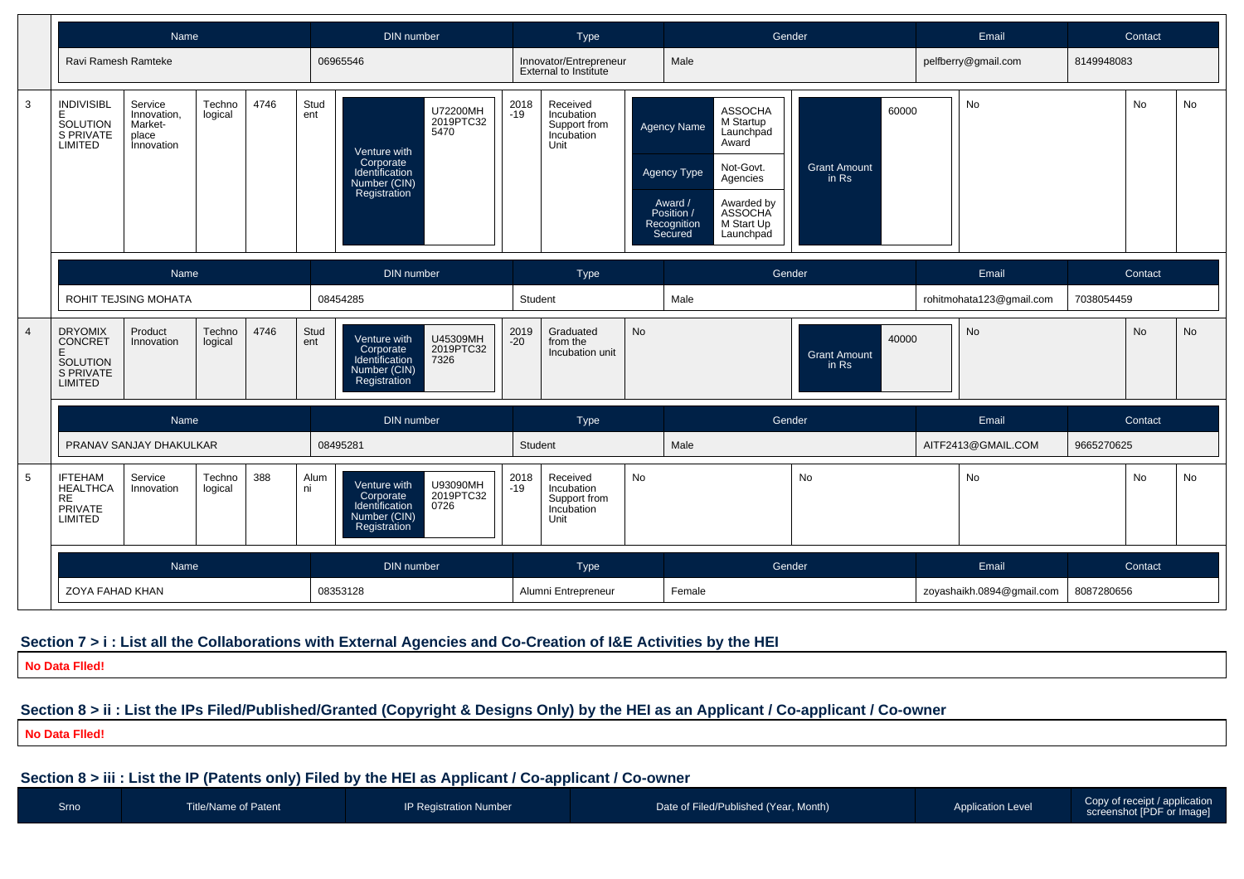

#### **Section 7 > i : List all the Collaborations with External Agencies and Co-Creation of I&E Activities by the HEI**

**No Data Flled!**

## **Section 8 > ii : List the IPs Filed/Published/Granted (Copyright & Designs Only) by the HEI as an Applicant / Co-applicant / Co-owner**

**No Data Flled!**

## **Section 8 > iii : List the IP (Patents only) Filed by the HEI as Applicant / Co-applicant / Co-owner**

| Srno | Title/Name of Patent | <b>IP Registration Number</b> | Date of Filed/Published (Year, Month) | <b>Application Level</b> | Copy of receipt / application<br>screenshot [PDF or Image] |
|------|----------------------|-------------------------------|---------------------------------------|--------------------------|------------------------------------------------------------|
|      |                      |                               |                                       |                          |                                                            |